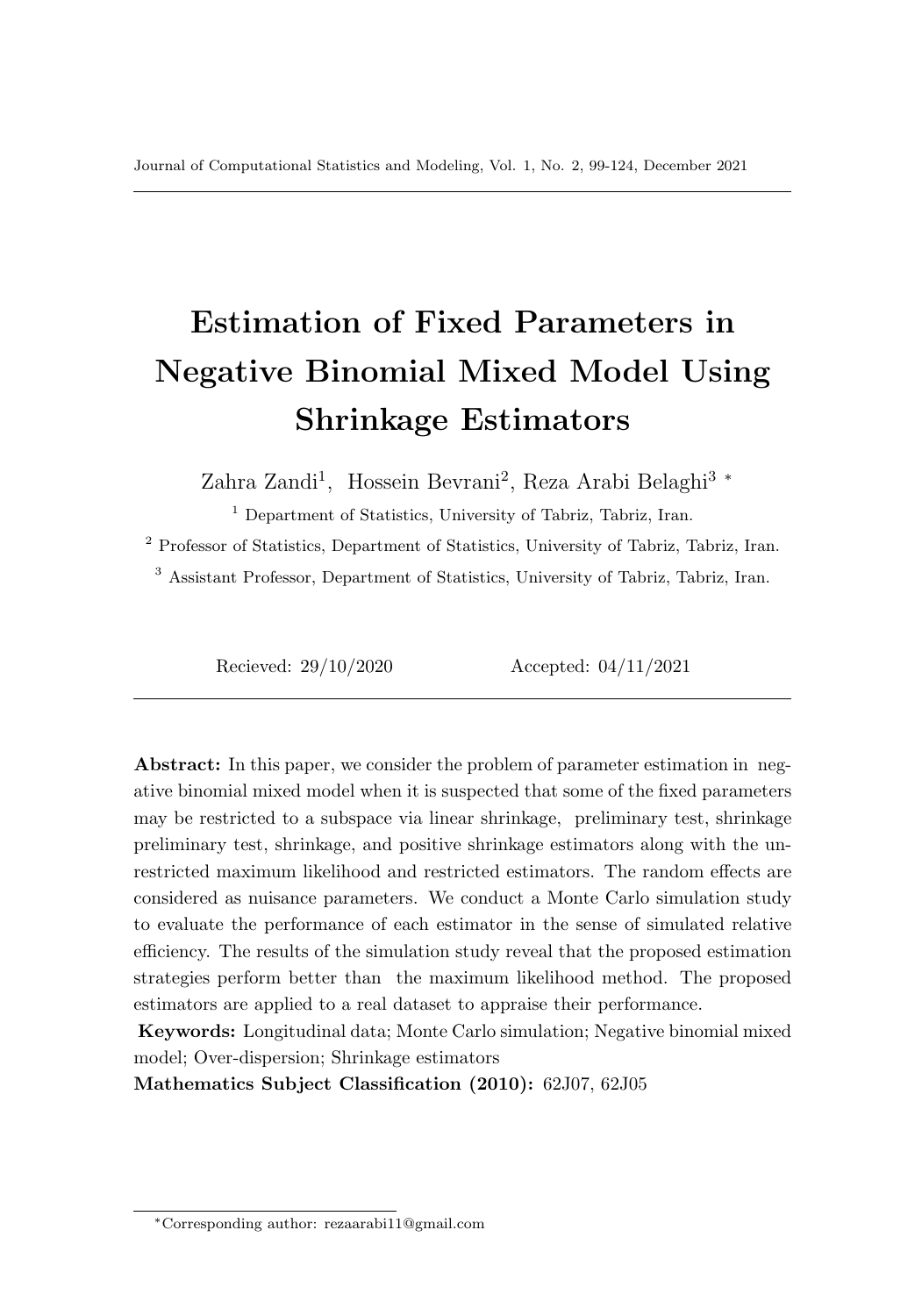# Estimation of Fixed Parameters in Negative Binomial Mixed Model Using Shrinkage Estimators

Zahra Zandi<sup>1</sup>, Hossein Bevrani<sup>2</sup>, Reza Arabi Belaghi<sup>3</sup><sup>\*</sup>

<sup>1</sup> Department of Statistics, University of Tabriz, Tabriz, Iran.

<sup>2</sup> Professor of Statistics, Department of Statistics, University of Tabriz, Tabriz, Iran.

<sup>3</sup> Assistant Professor, Department of Statistics, University of Tabriz, Tabriz, Iran.

Recieved: 29/10/2020 Accepted: 04/11/2021

Abstract: In this paper, we consider the problem of parameter estimation in negative binomial mixed model when it is suspected that some of the fixed parameters may be restricted to a subspace via linear shrinkage, preliminary test, shrinkage preliminary test, shrinkage, and positive shrinkage estimators along with the unrestricted maximum likelihood and restricted estimators. The random effects are considered as nuisance parameters. We conduct a Monte Carlo simulation study to evaluate the performance of each estimator in the sense of simulated relative efficiency. The results of the simulation study reveal that the proposed estimation strategies perform better than the maximum likelihood method. The proposed estimators are applied to a real dataset to appraise their performance.

Keywords: Longitudinal data; Monte Carlo simulation; Negative binomial mixed model; Over-dispersion; Shrinkage estimators

Mathematics Subject Classification (2010): 62J07, 62J05

<sup>∗</sup>Corresponding author: rezaarabi11@gmail.com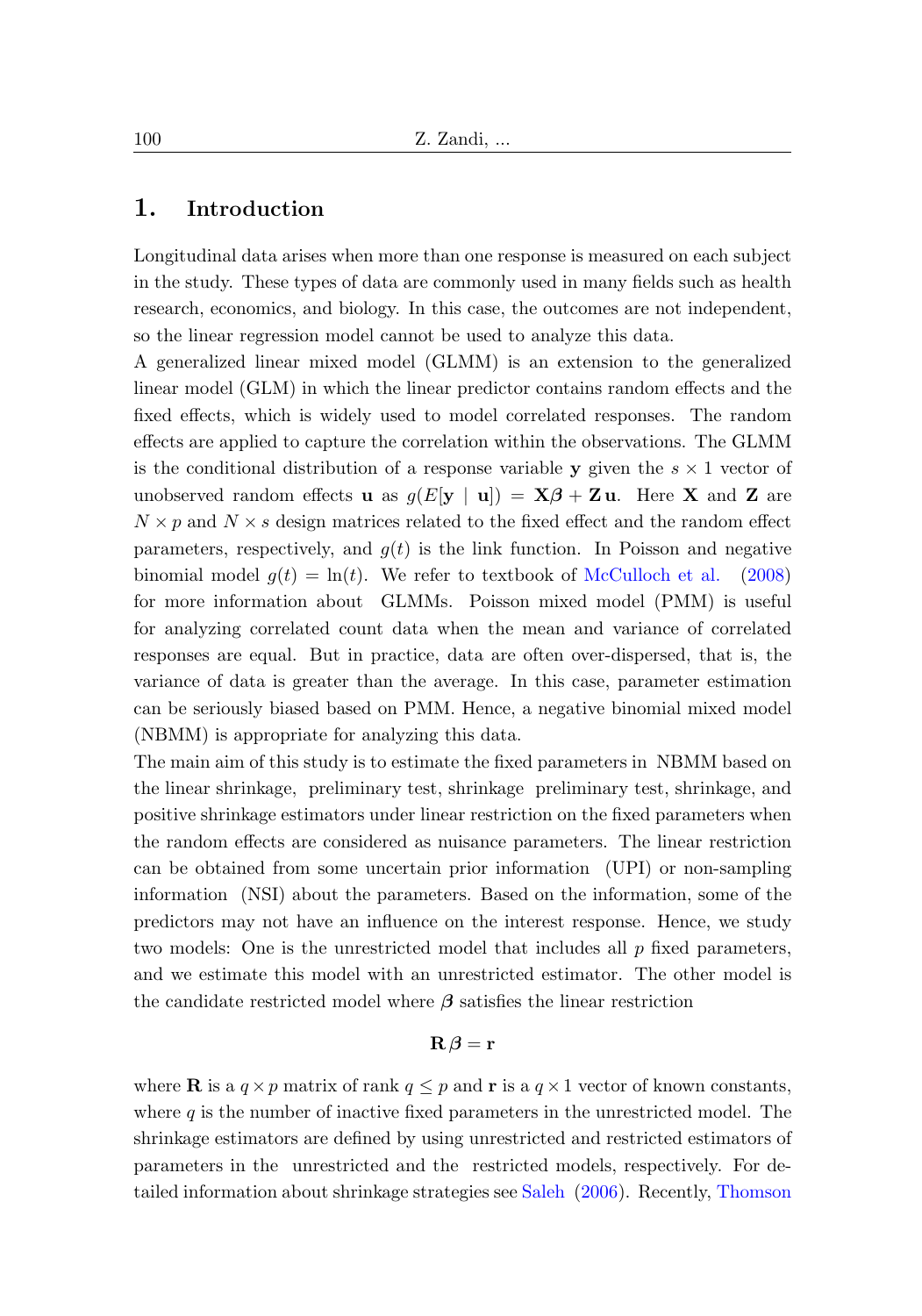#### 1. Introduction

Longitudinal data arises when more than one response is measured on each subject in the study. These types of data are commonly used in many fields such as health research, economics, and biology. In this case, the outcomes are not independent, so the linear regression model cannot be used to analyze this data.

A generalized linear mixed model (GLMM) is an extension to the generalized linear model (GLM) in which the linear predictor contains random effects and the fixed effects, which is widely used to model correlated responses. The random effects are applied to capture the correlation within the observations. The GLMM is the conditional distribution of a response variable y given the  $s \times 1$  vector of unobserved random effects **u** as  $g(E[\mathbf{y} | \mathbf{u}]) = \mathbf{X}\boldsymbol{\beta} + \mathbf{Z}\mathbf{u}$ . Here **X** and **Z** are  $N \times p$  and  $N \times s$  design matrices related to the fixed effect and the random effect parameters, respectively, and  $g(t)$  is the link function. In Poisson and negative binomial model  $g(t) = \ln(t)$ . We refer to textbook of [McCulloch et al.](#page-16-0) [\(2008\)](#page-16-0) for more information about GLMMs. Poisson mixed model (PMM) is useful for analyzing correlated count data when the mean and variance of correlated responses are equal. But in practice, data are often over-dispersed, that is, the variance of data is greater than the average. In this case, parameter estimation can be seriously biased based on PMM. Hence, a negative binomial mixed model (NBMM) is appropriate for analyzing this data.

The main aim of this study is to estimate the fixed parameters in NBMM based on the linear shrinkage, preliminary test, shrinkage preliminary test, shrinkage, and positive shrinkage estimators under linear restriction on the fixed parameters when the random effects are considered as nuisance parameters. The linear restriction can be obtained from some uncertain prior information (UPI) or non-sampling information (NSI) about the parameters. Based on the information, some of the predictors may not have an influence on the interest response. Hence, we study two models: One is the unrestricted model that includes all  $p$  fixed parameters, and we estimate this model with an unrestricted estimator. The other model is the candidate restricted model where  $\beta$  satisfies the linear restriction

#### $\mathbf{R}\boldsymbol{\beta}=\mathbf{r}$

where **R** is a  $q \times p$  matrix of rank  $q \leq p$  and **r** is a  $q \times 1$  vector of known constants, where  $q$  is the number of inactive fixed parameters in the unrestricted model. The shrinkage estimators are defined by using unrestricted and restricted estimators of parameters in the unrestricted and the restricted models, respectively. For detailed information about shrinkage strategies see [Saleh](#page-18-0) [\(2006\)](#page-18-0). Recently, [Thomson](#page-18-1)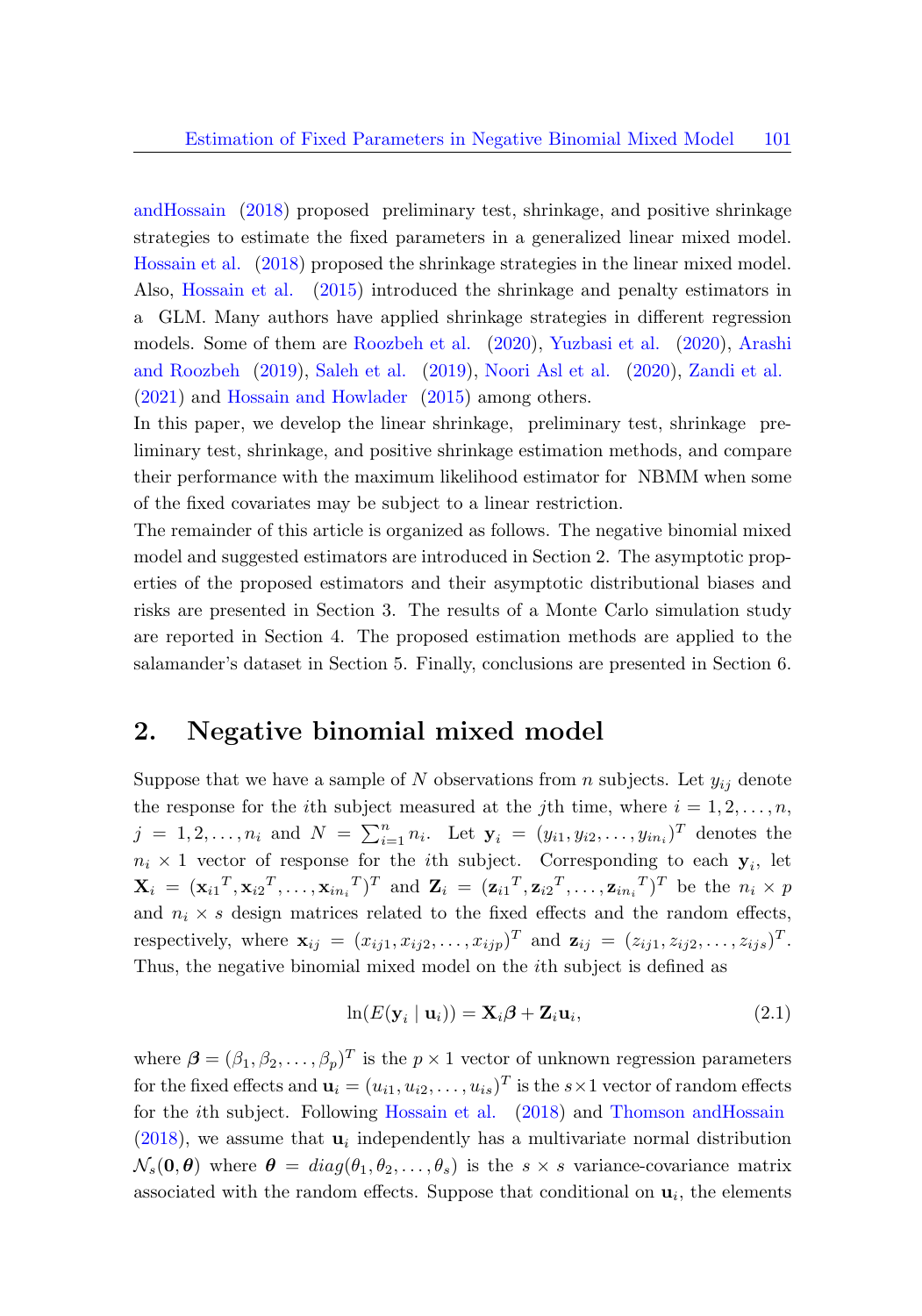[andHossain](#page-18-1) [\(2018\)](#page-18-1) proposed preliminary test, shrinkage, and positive shrinkage strategies to estimate the fixed parameters in a generalized linear mixed model. [Hossain et al.](#page-16-1) [\(2018\)](#page-16-1) proposed the shrinkage strategies in the linear mixed model. Also, [Hossain et al.](#page-16-2) [\(2015\)](#page-16-2) introduced the shrinkage and penalty estimators in a GLM. Many authors have applied shrinkage strategies in different regression models. Some of them are [Roozbeh et al.](#page-16-3) [\(2020\)](#page-16-3), [Yuzbasi et al.](#page-18-2) [\(2020\)](#page-18-2), [Arashi](#page-16-4) [and Roozbeh](#page-16-4) [\(2019\)](#page-16-4), [Saleh et al.](#page-18-3) [\(2019\)](#page-18-3), [Noori Asl et al.](#page-16-5) [\(2020\)](#page-16-5), [Zandi et al.](#page-18-4) [\(2021\)](#page-18-4) and [Hossain and Howlader](#page-16-6) [\(2015\)](#page-16-6) among others.

In this paper, we develop the linear shrinkage, preliminary test, shrinkage preliminary test, shrinkage, and positive shrinkage estimation methods, and compare their performance with the maximum likelihood estimator for NBMM when some of the fixed covariates may be subject to a linear restriction.

The remainder of this article is organized as follows. The negative binomial mixed model and suggested estimators are introduced in Section 2. The asymptotic properties of the proposed estimators and their asymptotic distributional biases and risks are presented in Section 3. The results of a Monte Carlo simulation study are reported in Section 4. The proposed estimation methods are applied to the salamander's dataset in Section 5. Finally, conclusions are presented in Section 6.

### 2. Negative binomial mixed model

Suppose that we have a sample of N observations from n subjects. Let  $y_{ij}$  denote the response for the *i*th subject measured at the *j*th time, where  $i = 1, 2, ..., n$ ,  $j = 1, 2, ..., n_i$  and  $N = \sum_{i=1}^{n} n_i$ . Let  $y_i = (y_{i1}, y_{i2}, ..., y_{in_i})^T$  denotes the  $n_i \times 1$  vector of response for the *i*th subject. Corresponding to each  $y_i$ , let  $\mathbf{X}_i = (\mathbf{x}_{i1}^T, \mathbf{x}_{i2}^T, \dots, \mathbf{x}_{in_i}^T)^T$  and  $\mathbf{Z}_i = (\mathbf{z}_{i1}^T, \mathbf{z}_{i2}^T, \dots, \mathbf{z}_{in_i}^T)^T$  be the  $n_i \times p$ and  $n_i \times s$  design matrices related to the fixed effects and the random effects, respectively, where  $\mathbf{x}_{ij} = (x_{ij1}, x_{ij2}, \dots, x_{ijp})^T$  and  $\mathbf{z}_{ij} = (z_{ij1}, z_{ij2}, \dots, z_{ijs})^T$ . Thus, the negative binomial mixed model on the ith subject is defined as

$$
\ln(E(\mathbf{y}_i \mid \mathbf{u}_i)) = \mathbf{X}_i \boldsymbol{\beta} + \mathbf{Z}_i \mathbf{u}_i, \tag{2.1}
$$

where  $\boldsymbol{\beta} = (\beta_1, \beta_2, \dots, \beta_p)^T$  is the  $p \times 1$  vector of unknown regression parameters for the fixed effects and  $\mathbf{u}_i = (u_{i1}, u_{i2}, \dots, u_{is})^T$  is the  $s \times 1$  vector of random effects for the ith subject. Following [Hossain et al.](#page-16-1) [\(2018\)](#page-16-1) and [Thomson andHossain](#page-18-1)  $(2018)$ , we assume that  $\mathbf{u}_i$  independently has a multivariate normal distribution  $\mathcal{N}_s(\mathbf{0}, \boldsymbol{\theta})$  where  $\boldsymbol{\theta} = diag(\theta_1, \theta_2, \dots, \theta_s)$  is the  $s \times s$  variance-covariance matrix associated with the random effects. Suppose that conditional on  $\mathbf{u}_i$ , the elements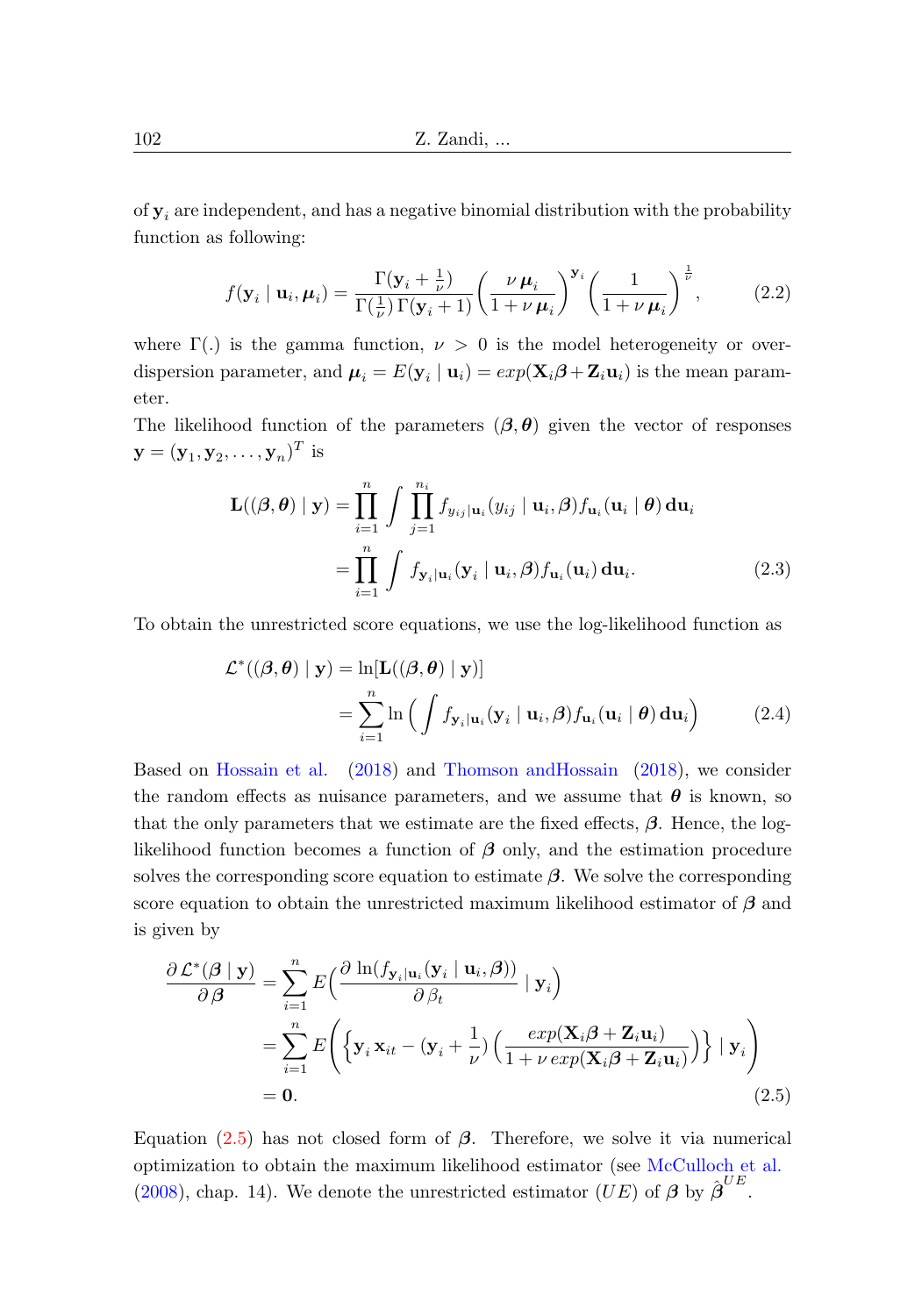of  $y_i$  are independent, and has a negative binomial distribution with the probability function as following:

<span id="page-3-1"></span>
$$
f(\mathbf{y}_i \mid \mathbf{u}_i, \boldsymbol{\mu}_i) = \frac{\Gamma(\mathbf{y}_i + \frac{1}{\nu})}{\Gamma(\frac{1}{\nu})\Gamma(\mathbf{y}_i + 1)} \left(\frac{\nu \mu_i}{1 + \nu \mu_i}\right)^{\mathbf{y}_i} \left(\frac{1}{1 + \nu \mu_i}\right)^{\frac{1}{\nu}},\tag{2.2}
$$

where  $\Gamma(.)$  is the gamma function,  $\nu > 0$  is the model heterogeneity or overdispersion parameter, and  $\mu_i = E(\mathbf{y}_i \mid \mathbf{u}_i) = exp(\mathbf{X}_i \boldsymbol{\beta} + \mathbf{Z}_i \mathbf{u}_i)$  is the mean parameter.

The likelihood function of the parameters  $(\beta, \theta)$  given the vector of responses  $\mathbf{y} = (\mathbf{y}_1, \mathbf{y}_2, \dots, \mathbf{y}_n)^T$  is

$$
\mathbf{L}((\boldsymbol{\beta}, \boldsymbol{\theta}) \mid \mathbf{y}) = \prod_{i=1}^{n} \int \prod_{j=1}^{n_i} f_{y_{ij}|\mathbf{u}_i}(y_{ij} \mid \mathbf{u}_i, \boldsymbol{\beta}) f_{\mathbf{u}_i}(\mathbf{u}_i \mid \boldsymbol{\theta}) d\mathbf{u}_i
$$

$$
= \prod_{i=1}^{n} \int f_{\mathbf{y}_i|\mathbf{u}_i}(\mathbf{y}_i \mid \mathbf{u}_i, \boldsymbol{\beta}) f_{\mathbf{u}_i}(\mathbf{u}_i) d\mathbf{u}_i.
$$
(2.3)

To obtain the unrestricted score equations, we use the log-likelihood function as

<span id="page-3-2"></span>
$$
\mathcal{L}^*((\beta,\theta) \mid \mathbf{y}) = \ln[\mathbf{L}((\beta,\theta) \mid \mathbf{y})]
$$
  
= 
$$
\sum_{i=1}^n \ln \left( \int f_{\mathbf{y}_i|\mathbf{u}_i}(\mathbf{y}_i \mid \mathbf{u}_i, \beta) f_{\mathbf{u}_i}(\mathbf{u}_i \mid \theta) \, d\mathbf{u}_i \right)
$$
(2.4)

Based on [Hossain et al.](#page-16-1) [\(2018\)](#page-16-1) and [Thomson andHossain](#page-18-1) [\(2018\)](#page-18-1), we consider the random effects as nuisance parameters, and we assume that  $\theta$  is known, so that the only parameters that we estimate are the fixed effects,  $\beta$ . Hence, the loglikelihood function becomes a function of  $\beta$  only, and the estimation procedure solves the corresponding score equation to estimate  $\beta$ . We solve the corresponding score equation to obtain the unrestricted maximum likelihood estimator of  $\beta$  and is given by

<span id="page-3-0"></span>
$$
\frac{\partial \mathcal{L}^*(\boldsymbol{\beta} \mid \mathbf{y})}{\partial \boldsymbol{\beta}} = \sum_{i=1}^n E\left(\frac{\partial \ln(f_{\mathbf{y}_i \mid \mathbf{u}_i}(\mathbf{y}_i \mid \mathbf{u}_i, \boldsymbol{\beta}))}{\partial \beta_t} \mid \mathbf{y}_i\right)
$$
  
= 
$$
\sum_{i=1}^n E\left(\left\{\mathbf{y}_i \mathbf{x}_{it} - (\mathbf{y}_i + \frac{1}{\nu}) \left(\frac{exp(\mathbf{X}_i \boldsymbol{\beta} + \mathbf{Z}_i \mathbf{u}_i)}{1 + \nu exp(\mathbf{X}_i \boldsymbol{\beta} + \mathbf{Z}_i \mathbf{u}_i)}\right)\right\} \mid \mathbf{y}_i\right)
$$
  
= **0.** (2.5)

Equation [\(2.5\)](#page-3-0) has not closed form of  $\beta$ . Therefore, we solve it via numerical optimization to obtain the maximum likelihood estimator (see [McCulloch et al.](#page-16-0) [\(2008\)](#page-16-0), chap. 14). We denote the unrestricted estimator  $(\overline{UE})$  of  $\beta$  by  $\hat{\beta}^{UE}$ .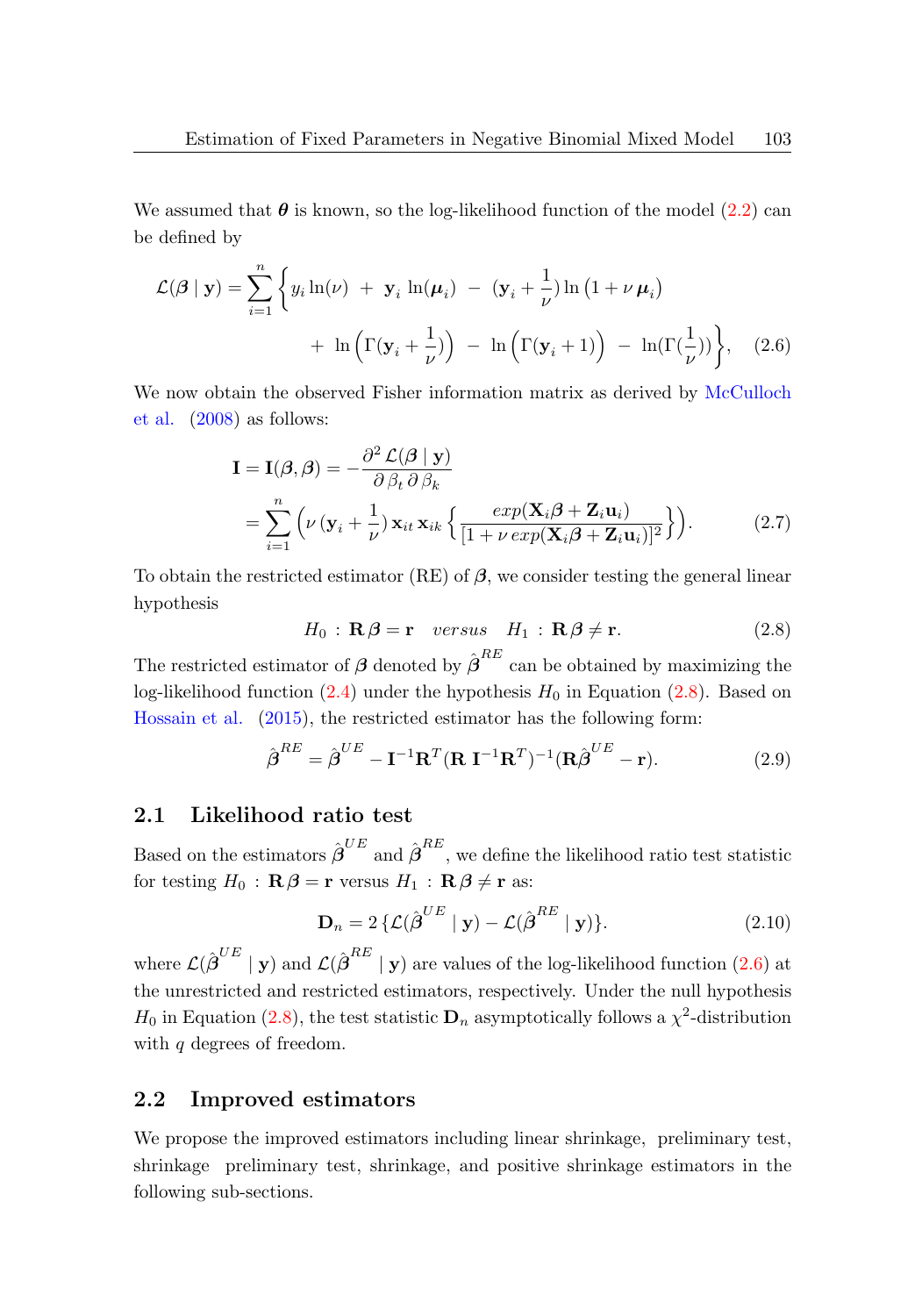We assumed that  $\theta$  is known, so the log-likelihood function of the model [\(2.2\)](#page-3-1) can be defined by

$$
\mathcal{L}(\beta \mid \mathbf{y}) = \sum_{i=1}^{n} \left\{ y_i \ln(\nu) + \mathbf{y}_i \ln(\mu_i) - (\mathbf{y}_i + \frac{1}{\nu}) \ln(1 + \nu \mu_i) + \ln\left(\Gamma(\mathbf{y}_i + \frac{1}{\nu})\right) - \ln\left(\Gamma(\mathbf{y}_i + 1)\right) - \ln(\Gamma(\frac{1}{\nu})) \right\}, \quad (2.6)
$$

We now obtain the observed Fisher information matrix as derived by [McCulloch](#page-16-0) [et al.](#page-16-0) [\(2008\)](#page-16-0) as follows:

<span id="page-4-1"></span>
$$
\mathbf{I} = \mathbf{I}(\boldsymbol{\beta}, \boldsymbol{\beta}) = -\frac{\partial^2 \mathcal{L}(\boldsymbol{\beta} \mid \mathbf{y})}{\partial \beta_t \partial \beta_k}
$$
  
= 
$$
\sum_{i=1}^n \left( \nu \left( \mathbf{y}_i + \frac{1}{\nu} \right) \mathbf{x}_{it} \mathbf{x}_{ik} \left\{ \frac{exp(\mathbf{X}_i \boldsymbol{\beta} + \mathbf{Z}_i \mathbf{u}_i)}{\left[ 1 + \nu \exp(\mathbf{X}_i \boldsymbol{\beta} + \mathbf{Z}_i \mathbf{u}_i) \right]^2} \right\} \right).
$$
 (2.7)

To obtain the restricted estimator (RE) of  $\beta$ , we consider testing the general linear hypothesis

<span id="page-4-3"></span><span id="page-4-0"></span>
$$
H_0: \mathbf{R}\beta = \mathbf{r} \quad versus \quad H_1: \mathbf{R}\beta \neq \mathbf{r}.\tag{2.8}
$$

The restricted estimator of  $\beta$  denoted by  $\hat{\beta}^{RE}$  can be obtained by maximizing the log-likelihood function  $(2.4)$  under the hypothesis  $H_0$  in Equation  $(2.8)$ . Based on [Hossain et al.](#page-16-2) [\(2015\)](#page-16-2), the restricted estimator has the following form:

$$
\hat{\boldsymbol{\beta}}^{RE} = \hat{\boldsymbol{\beta}}^{UE} - \mathbf{I}^{-1} \mathbf{R}^T (\mathbf{R} \mathbf{I}^{-1} \mathbf{R}^T)^{-1} (\mathbf{R} \hat{\boldsymbol{\beta}}^{UE} - \mathbf{r}).
$$
\n(2.9)

### 2.1 Likelihood ratio test

Based on the estimators  $\hat{\boldsymbol{\beta}}^{UE}$  and  $\hat{\boldsymbol{\beta}}^{RE}$ , we define the likelihood ratio test statistic for testing  $H_0$ :  $\mathbf{R}\boldsymbol{\beta} = \mathbf{r}$  versus  $H_1$ :  $\mathbf{R}\boldsymbol{\beta} \neq \mathbf{r}$  as:

<span id="page-4-2"></span>
$$
\mathbf{D}_n = 2 \left\{ \mathcal{L}(\hat{\boldsymbol{\beta}}^{UE} \mid \mathbf{y}) - \mathcal{L}(\hat{\boldsymbol{\beta}}^{RE} \mid \mathbf{y}) \right\}.
$$
 (2.10)

where  $\mathcal{L}(\hat{\boldsymbol{\beta}}^{UE} \mid \mathbf{y})$  and  $\mathcal{L}(\hat{\boldsymbol{\beta}}^{RE} \mid \mathbf{y})$  are values of the log-likelihood function [\(2.6\)](#page-4-1) at the unrestricted and restricted estimators, respectively. Under the null hypothesis  $H_0$  in Equation [\(2.8\)](#page-4-0), the test statistic  $\mathbf{D}_n$  asymptotically follows a  $\chi^2$ -distribution with q degrees of freedom.

### 2.2 Improved estimators

We propose the improved estimators including linear shrinkage, preliminary test, shrinkage preliminary test, shrinkage, and positive shrinkage estimators in the following sub-sections.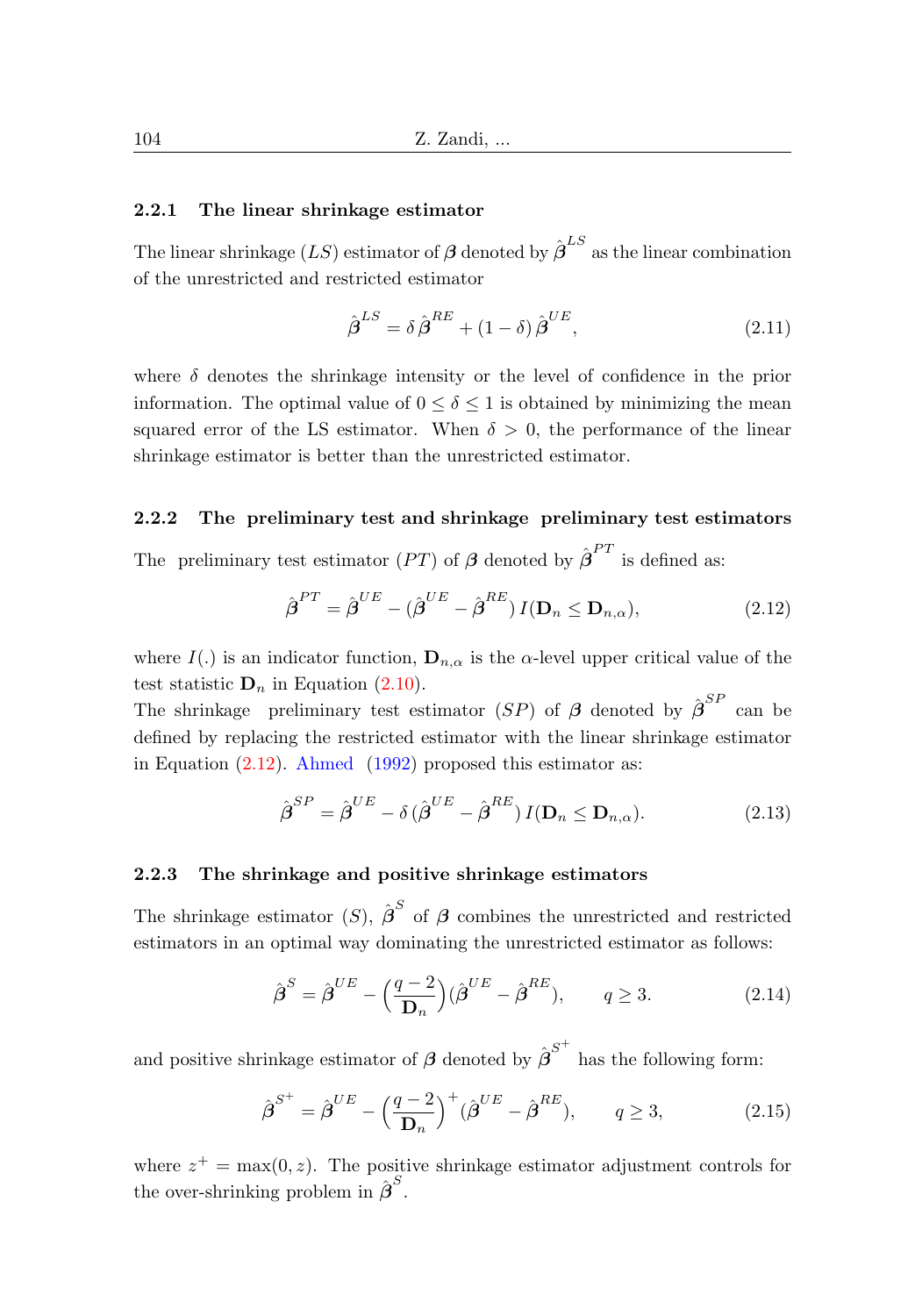#### 2.2.1 The linear shrinkage estimator

The linear shrinkage  $(LS)$  estimator of  $\beta$  denoted by  $\hat{\beta}^{LS}$  as the linear combination of the unrestricted and restricted estimator

$$
\hat{\boldsymbol{\beta}}^{LS} = \delta \hat{\boldsymbol{\beta}}^{RE} + (1 - \delta) \hat{\boldsymbol{\beta}}^{UE}, \qquad (2.11)
$$

where  $\delta$  denotes the shrinkage intensity or the level of confidence in the prior information. The optimal value of  $0 \leq \delta \leq 1$  is obtained by minimizing the mean squared error of the LS estimator. When  $\delta > 0$ , the performance of the linear shrinkage estimator is better than the unrestricted estimator.

#### 2.2.2 The preliminary test and shrinkage preliminary test estimators

The preliminary test estimator  $(PT)$  of  $\beta$  denoted by  $\hat{\beta}^{PT}$  is defined as:

<span id="page-5-0"></span>
$$
\hat{\boldsymbol{\beta}}^{PT} = \hat{\boldsymbol{\beta}}^{UE} - (\hat{\boldsymbol{\beta}}^{UE} - \hat{\boldsymbol{\beta}}^{RE}) I(\mathbf{D}_n \le \mathbf{D}_{n,\alpha}),
$$
\n(2.12)

where I(.) is an indicator function,  $\mathbf{D}_{n,\alpha}$  is the  $\alpha$ -level upper critical value of the test statistic  $D_n$  in Equation [\(2.10\)](#page-4-2).

The shrinkage preliminary test estimator (SP) of  $\beta$  denoted by  $\hat{\beta}^{SP}$  can be defined by replacing the restricted estimator with the linear shrinkage estimator in Equation  $(2.12)$ . [Ahmed](#page-16-7)  $(1992)$  proposed this estimator as:

$$
\hat{\boldsymbol{\beta}}^{SP} = \hat{\boldsymbol{\beta}}^{UE} - \delta \left( \hat{\boldsymbol{\beta}}^{UE} - \hat{\boldsymbol{\beta}}^{RE} \right) I(\mathbf{D}_n \le \mathbf{D}_{n,\alpha}). \tag{2.13}
$$

#### 2.2.3 The shrinkage and positive shrinkage estimators

The shrinkage estimator (S),  $\hat{\boldsymbol{\beta}}^S$  of  $\boldsymbol{\beta}$  combines the unrestricted and restricted estimators in an optimal way dominating the unrestricted estimator as follows:

$$
\hat{\boldsymbol{\beta}}^{S} = \hat{\boldsymbol{\beta}}^{UE} - \left(\frac{q-2}{\mathbf{D}_{n}}\right)(\hat{\boldsymbol{\beta}}^{UE} - \hat{\boldsymbol{\beta}}^{RE}), \qquad q \ge 3. \tag{2.14}
$$

and positive shrinkage estimator of  $\boldsymbol{\beta}$  denoted by  $\hat{\boldsymbol{\beta}}^{S^+}$  has the following form:

$$
\hat{\boldsymbol{\beta}}^{S^+} = \hat{\boldsymbol{\beta}}^{UE} - \left(\frac{q-2}{\mathbf{D}_n}\right)^+ (\hat{\boldsymbol{\beta}}^{UE} - \hat{\boldsymbol{\beta}}^{RE}), \qquad q \ge 3,
$$
\n(2.15)

where  $z^+ = \max(0, z)$ . The positive shrinkage estimator adjustment controls for the over-shrinking problem in  $\hat{\boldsymbol{\beta}}^S$ .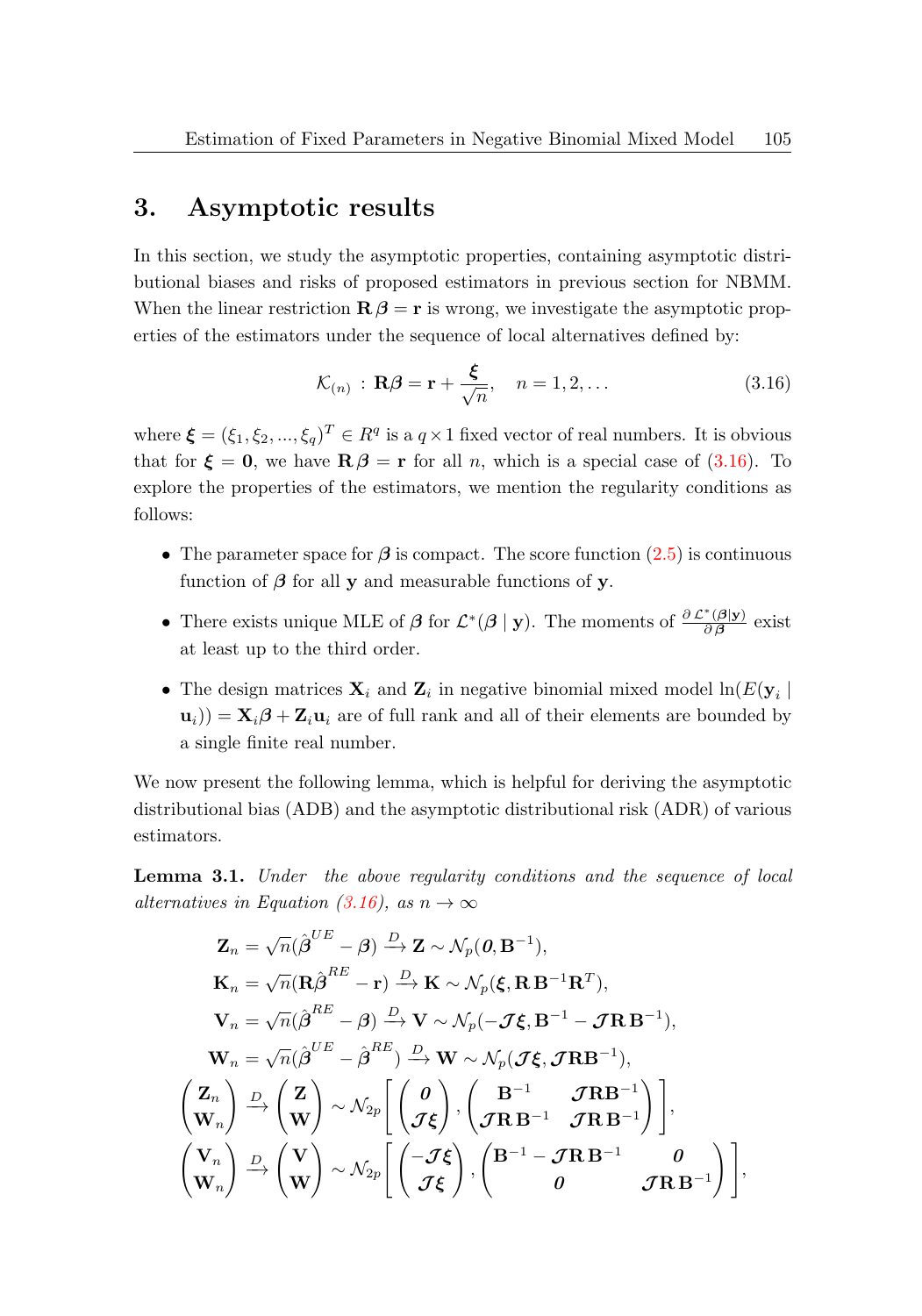### 3. Asymptotic results

In this section, we study the asymptotic properties, containing asymptotic distributional biases and risks of proposed estimators in previous section for NBMM. When the linear restriction  $\mathbf{R}\beta = \mathbf{r}$  is wrong, we investigate the asymptotic properties of the estimators under the sequence of local alternatives defined by:

<span id="page-6-0"></span>
$$
\mathcal{K}_{(n)} : \mathbf{R}\boldsymbol{\beta} = \mathbf{r} + \frac{\boldsymbol{\xi}}{\sqrt{n}}, \quad n = 1, 2, \dots
$$
\n(3.16)

where  $\boldsymbol{\xi} = (\xi_1, \xi_2, ..., \xi_q)^T \in R^q$  is a  $q \times 1$  fixed vector of real numbers. It is obvious that for  $\xi = 0$ , we have  $\mathbf{R}\beta = \mathbf{r}$  for all *n*, which is a special case of [\(3.16\)](#page-6-0). To explore the properties of the estimators, we mention the regularity conditions as follows:

- The parameter space for  $\beta$  is compact. The score function [\(2.5\)](#page-3-0) is continuous function of  $\beta$  for all y and measurable functions of y.
- There exists unique MLE of  $\beta$  for  $\mathcal{L}^*(\beta | y)$ . The moments of  $\frac{\partial \mathcal{L}^*(\beta | y)}{\partial \beta}$  $rac{\left(\mathbf{\rho}\mathbf{y}\right)}{\partial\beta}$  exist at least up to the third order.
- The design matrices  $\mathbf{X}_i$  and  $\mathbf{Z}_i$  in negative binomial mixed model  $\ln(E(\mathbf{y}_i))$  $(\mathbf{u}_i)$ ) =  $\mathbf{X}_i \boldsymbol{\beta} + \mathbf{Z}_i \mathbf{u}_i$  are of full rank and all of their elements are bounded by a single finite real number.

We now present the following lemma, which is helpful for deriving the asymptotic distributional bias (ADB) and the asymptotic distributional risk (ADR) of various estimators.

<span id="page-6-1"></span>Lemma 3.1. Under the above regularity conditions and the sequence of local alternatives in Equation [\(3.16\)](#page-6-0), as  $n \to \infty$ 

$$
Z_n = \sqrt{n}(\hat{\boldsymbol{\beta}}^{UE} - \boldsymbol{\beta}) \xrightarrow{D} Z \sim \mathcal{N}_p(\boldsymbol{\theta}, \mathbf{B}^{-1}),
$$
  
\n
$$
\mathbf{K}_n = \sqrt{n}(\mathbf{R}\hat{\boldsymbol{\beta}}^{RE} - \mathbf{r}) \xrightarrow{D} \mathbf{K} \sim \mathcal{N}_p(\boldsymbol{\xi}, \mathbf{R}\mathbf{B}^{-1}\mathbf{R}^T),
$$
  
\n
$$
\mathbf{V}_n = \sqrt{n}(\hat{\boldsymbol{\beta}}^{RE} - \boldsymbol{\beta}) \xrightarrow{D} \mathbf{V} \sim \mathcal{N}_p(-\mathcal{J}\boldsymbol{\xi}, \mathbf{B}^{-1} - \mathcal{J}\mathbf{R}\mathbf{B}^{-1}),
$$
  
\n
$$
\mathbf{W}_n = \sqrt{n}(\hat{\boldsymbol{\beta}}^{UE} - \hat{\boldsymbol{\beta}}^{RE}) \xrightarrow{D} \mathbf{W} \sim \mathcal{N}_p(\mathcal{J}\boldsymbol{\xi}, \mathcal{J}\mathbf{R}\mathbf{B}^{-1}),
$$
  
\n
$$
\begin{pmatrix} \mathbf{Z}_n \\ \mathbf{W}_n \end{pmatrix} \xrightarrow{D} \begin{pmatrix} \mathbf{Z} \\ \mathbf{W} \end{pmatrix} \sim \mathcal{N}_{2p} \begin{bmatrix} \begin{pmatrix} \boldsymbol{\theta} \\ \mathcal{J}\boldsymbol{\xi} \end{pmatrix}, \begin{pmatrix} \mathbf{B}^{-1} & \mathcal{J}\mathbf{R}\mathbf{B}^{-1} \\ \mathcal{J}\mathbf{R}\mathbf{B}^{-1} & \mathcal{J}\mathbf{R}\mathbf{B}^{-1} \end{pmatrix} \end{bmatrix},
$$
  
\n
$$
\begin{pmatrix} \mathbf{V}_n \\ \mathbf{W}_n \end{pmatrix} \xrightarrow{D} \begin{pmatrix} \mathbf{V} \\ \mathbf{W} \end{pmatrix} \sim \mathcal{N}_{2p} \begin{bmatrix} \begin{pmatrix} -\mathcal{J}\boldsymbol{\xi} \\ \mathcal{J}\boldsymbol{\xi} \end{pmatrix}, \begin{pmatrix} \mathbf{B}^{-1} - \mathcal{J}\mathbf{R}\mathbf{B}^{-1} & \boldsymbol{\theta} \\ \boldsymbol{\theta} & \mathcal{J}\mathbf{R}\mathbf{B}^{-1} \end{pmatrix} \end{bmatrix},
$$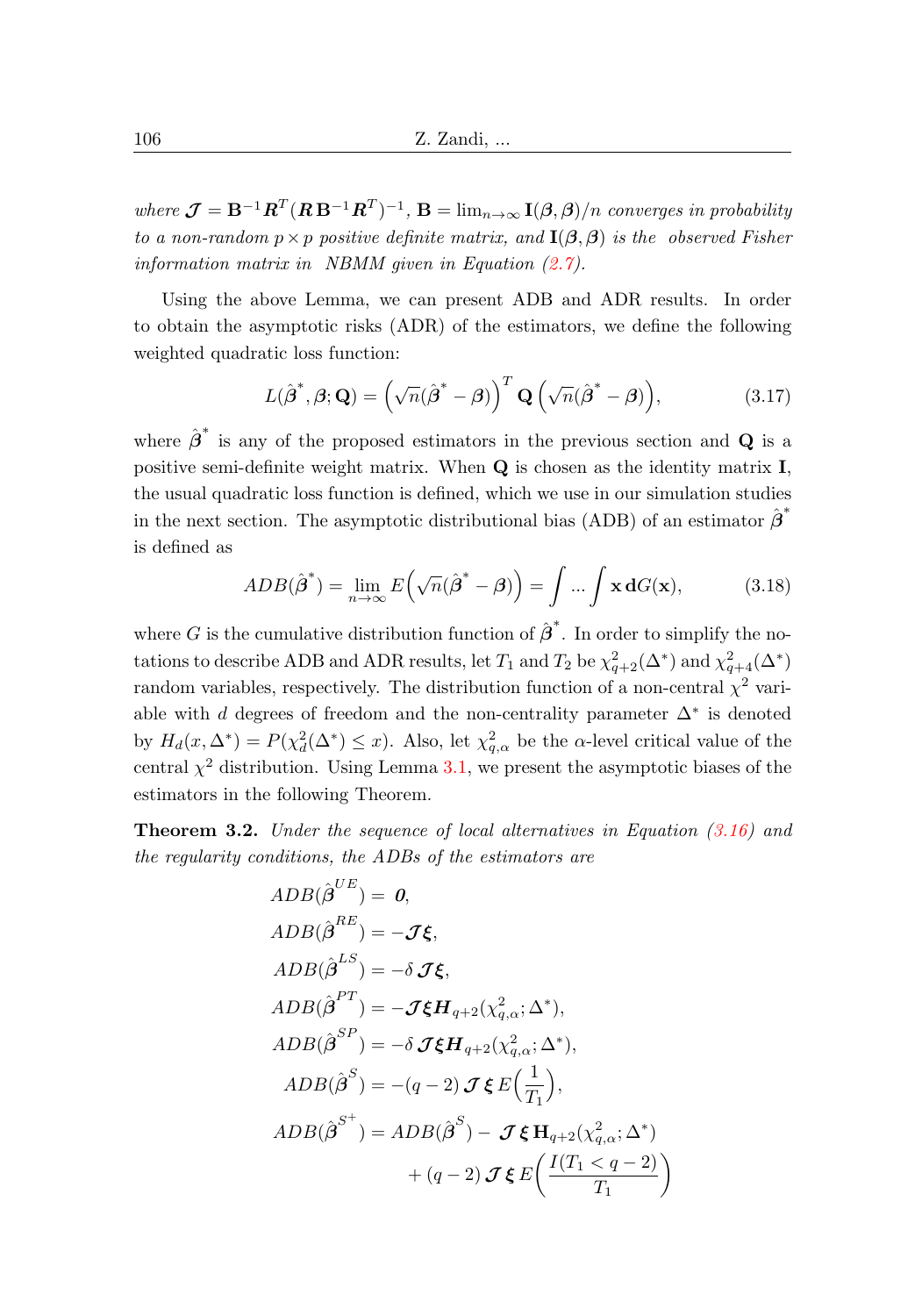where  $\mathcal{J} = B^{-1}R^{T}(R B^{-1}R^{T})^{-1}$ ,  $B = \lim_{n \to \infty} I(\beta, \beta)/n$  converges in probability to a non-random  $p \times p$  positive definite matrix, and  $I(\beta, \beta)$  is the observed Fisher information matrix in NBMM given in Equation [\(2.7\)](#page-4-3).

Using the above Lemma, we can present ADB and ADR results. In order to obtain the asymptotic risks (ADR) of the estimators, we define the following weighted quadratic loss function:

$$
L(\hat{\boldsymbol{\beta}}^*, \boldsymbol{\beta}; \mathbf{Q}) = (\sqrt{n}(\hat{\boldsymbol{\beta}}^* - \boldsymbol{\beta}))^T \mathbf{Q} (\sqrt{n}(\hat{\boldsymbol{\beta}}^* - \boldsymbol{\beta})), \tag{3.17}
$$

where  $\hat{\boldsymbol{\beta}}^*$  is any of the proposed estimators in the previous section and **Q** is a positive semi-definite weight matrix. When Q is chosen as the identity matrix I, the usual quadratic loss function is defined, which we use in our simulation studies in the next section. The asymptotic distributional bias (ADB) of an estimator  $\hat{\boldsymbol{\beta}}^*$ is defined as

$$
ADB(\hat{\boldsymbol{\beta}}^*) = \lim_{n \to \infty} E\left(\sqrt{n}(\hat{\boldsymbol{\beta}}^* - \boldsymbol{\beta})\right) = \int \dots \int \mathbf{x} \, dG(\mathbf{x}), \tag{3.18}
$$

where G is the cumulative distribution function of  $\hat{\boldsymbol{\beta}}^*$ . In order to simplify the notations to describe ADB and ADR results, let  $T_1$  and  $T_2$  be  $\chi^2_{q+2}(\Delta^*)$  and  $\chi^2_{q+4}(\Delta^*)$ random variables, respectively. The distribution function of a non-central  $\chi^2$  variable with d degrees of freedom and the non-centrality parameter  $\Delta^*$  is denoted by  $H_d(x, \Delta^*) = P(\chi_d^2(\Delta^*) \leq x)$ . Also, let  $\chi_{q,\alpha}^2$  be the  $\alpha$ -level critical value of the central  $\chi^2$  distribution. Using Lemma [3.1,](#page-6-1) we present the asymptotic biases of the estimators in the following Theorem.

<span id="page-7-0"></span>**Theorem 3.2.** Under the sequence of local alternatives in Equation  $(3.16)$  and the regularity conditions, the ADBs of the estimators are

$$
ADB(\hat{\boldsymbol{\beta}}^{UE}) = \boldsymbol{0},
$$
  
\n
$$
ADB(\hat{\boldsymbol{\beta}}^{RE}) = -\boldsymbol{\mathcal{J}}\boldsymbol{\xi},
$$
  
\n
$$
ADB(\hat{\boldsymbol{\beta}}^{LS}) = -\delta \boldsymbol{\mathcal{J}}\boldsymbol{\xi},
$$
  
\n
$$
ADB(\hat{\boldsymbol{\beta}}^{PT}) = -\boldsymbol{\mathcal{J}}\boldsymbol{\xi}\boldsymbol{H}_{q+2}(\chi_{q,\alpha}^2;\Delta^*),
$$
  
\n
$$
ADB(\hat{\boldsymbol{\beta}}^{SP}) = -\delta \boldsymbol{\mathcal{J}}\boldsymbol{\xi}\boldsymbol{H}_{q+2}(\chi_{q,\alpha}^2;\Delta^*),
$$
  
\n
$$
ADB(\hat{\boldsymbol{\beta}}^{S}) = -(q-2)\boldsymbol{\mathcal{J}}\boldsymbol{\xi}\boldsymbol{E}(\frac{1}{T_1}),
$$
  
\n
$$
ADB(\hat{\boldsymbol{\beta}}^{S^+}) = ADB(\hat{\boldsymbol{\beta}}^{S}) - \boldsymbol{\mathcal{J}}\boldsymbol{\xi}\boldsymbol{H}_{q+2}(\chi_{q,\alpha}^2;\Delta^*) + (q-2)\boldsymbol{\mathcal{J}}\boldsymbol{\xi}\boldsymbol{E}(\frac{I(T_1 < q - 2)}{T_1})
$$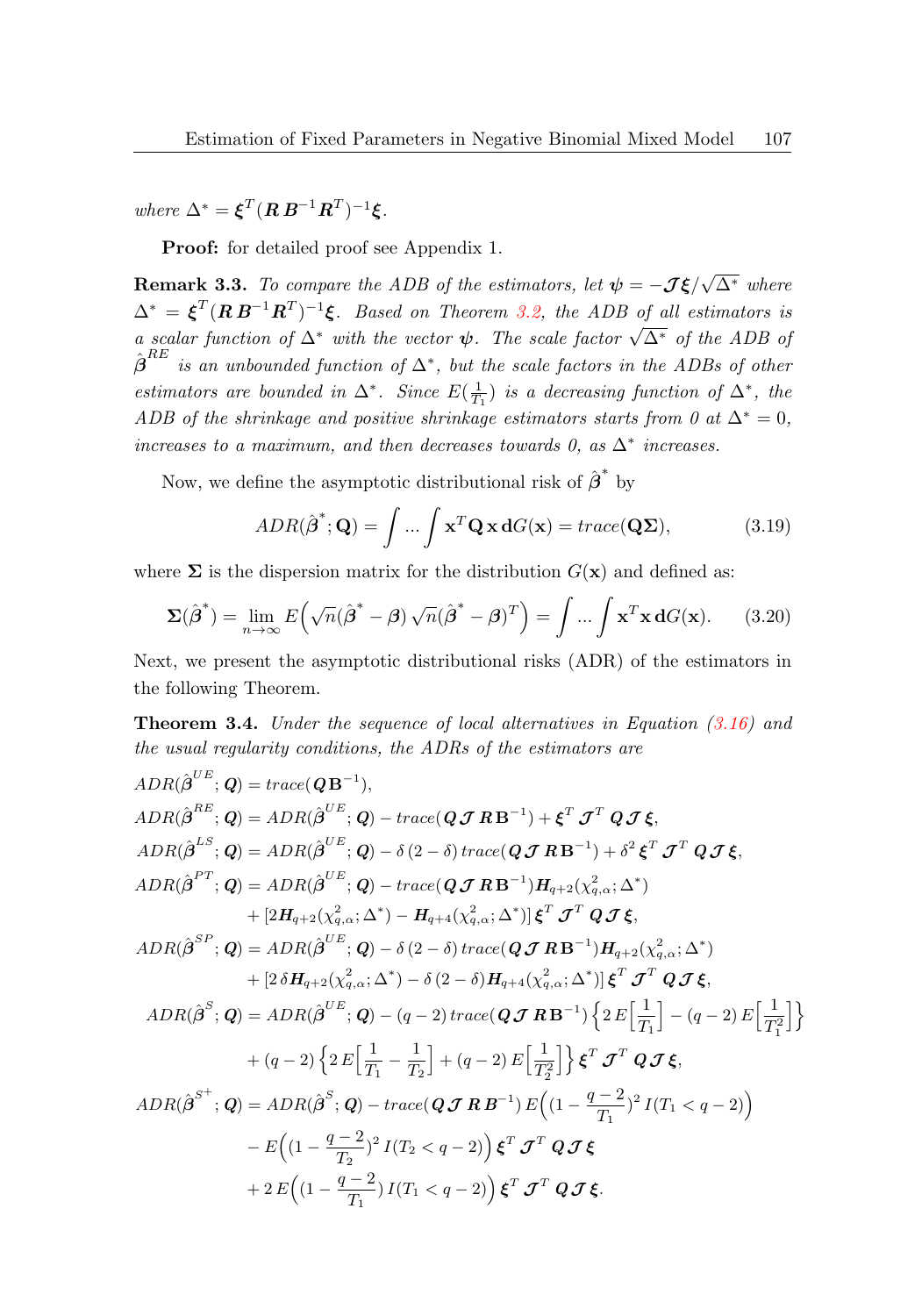where  $\Delta^* = \boldsymbol{\xi}^T (\boldsymbol{R} \boldsymbol{B}^{-1} \boldsymbol{R}^T)^{-1} \boldsymbol{\xi}$ .

Proof: for detailed proof see Appendix 1.

**Remark 3.3.** To compare the ADB of the estimators, let  $\psi = -J\xi$  $\sqrt{\Delta^*}$  where  $\Delta^* = \boldsymbol{\xi}^T (\boldsymbol{R}\,\boldsymbol{B}^{-1}\boldsymbol{R}^T)^{-1} \boldsymbol{\xi}$ . Based on Theorem [3.2,](#page-7-0) the ADB of all estimators is  $\Delta = \zeta$  (*AD*  $\pi$  )  $\zeta$ . Based on Theorem 5.2, the ADB of all estimators as<br>a scalar function of  $\Delta^*$  with the vector  $\psi$ . The scale factor  $\sqrt{\Delta^*}$  of the ADB of  $\hat{\boldsymbol{\beta}}^{RE}$  is an unbounded function of  $\Delta^*$ , but the scale factors in the ADBs of other estimators are bounded in  $\Delta^*$ . Since  $E(\frac{1}{T_1})$  is a decreasing function of  $\Delta^*$ , the ADB of the shrinkage and positive shrinkage estimators starts from 0 at  $\Delta^* = 0$ , increases to a maximum, and then decreases towards 0, as  $\Delta^*$  increases.

Now, we define the asymptotic distributional risk of  $\hat{\boldsymbol{\beta}}^*$  by

$$
ADR(\hat{\boldsymbol{\beta}}^*; \mathbf{Q}) = \int \dots \int \mathbf{x}^T \mathbf{Q} \mathbf{x} \, dG(\mathbf{x}) = trace(\mathbf{Q} \mathbf{\Sigma}), \tag{3.19}
$$

where  $\Sigma$  is the dispersion matrix for the distribution  $G(\mathbf{x})$  and defined as:

<span id="page-8-1"></span>
$$
\Sigma(\hat{\boldsymbol{\beta}}^*) = \lim_{n \to \infty} E\left(\sqrt{n}(\hat{\boldsymbol{\beta}}^* - \boldsymbol{\beta})\sqrt{n}(\hat{\boldsymbol{\beta}}^* - \boldsymbol{\beta})^T\right) = \int \dots \int \mathbf{x}^T \mathbf{x} \, dG(\mathbf{x}). \tag{3.20}
$$

Next, we present the asymptotic distributional risks (ADR) of the estimators in the following Theorem.

<span id="page-8-0"></span>**Theorem 3.4.** Under the sequence of local alternatives in Equation  $(3.16)$  and the usual regularity conditions, the ADRs of the estimators are

$$
ADR(\hat{\beta}^{UE}; Q) = trace(QB^{-1}),
$$
  
\n
$$
ADR(\hat{\beta}^{RE}; Q) = ADR(\hat{\beta}^{UE}; Q) - trace(QJRB^{-1}) + \xi^{T} J^{T} Q J \xi,
$$
  
\n
$$
ADR(\hat{\beta}^{LS}; Q) = ADR(\hat{\beta}^{UE}; Q) - \delta(2-\delta) trace(QJRB^{-1}) + \delta^{2} \xi^{T} J^{T} Q J \xi,
$$
  
\n
$$
ADR(\hat{\beta}^{PT}; Q) = ADR(\hat{\beta}^{UE}; Q) - trace(QJRB^{-1})H_{q+2}(\chi_{q,\alpha}^{2}, \Delta^{*}) + [2H_{q+2}(\chi_{q,\alpha}^{2}; \Delta^{*}) - H_{q+4}(\chi_{q,\alpha}^{2}; \Delta^{*})] \xi^{T} J^{T} Q J \xi,
$$
  
\n
$$
ADR(\hat{\beta}^{SP}; Q) = ADR(\hat{\beta}^{UE}; Q) - \delta(2-\delta) trace(QJRB^{-1})H_{q+2}(\chi_{q,\alpha}^{2}; \Delta^{*}) + [2\delta H_{q+2}(\chi_{q,\alpha}^{2}; \Delta^{*}) - \delta(2-\delta)H_{q+4}(\chi_{q,\alpha}^{2}; \Delta^{*})] \xi^{T} J^{T} Q J \xi,
$$
  
\n
$$
ADR(\hat{\beta}^{S}; Q) = ADR(\hat{\beta}^{UE}; Q) - (q-2) trace(QJRB^{-1}) \{2E\left[\frac{1}{T_{1}}\right] - (q-2)E\left[\frac{1}{T_{1}^{2}}\right] \} + (q-2) \{2E\left[\frac{1}{T_{1}} - \frac{1}{T_{2}}\right] + (q-2)E\left[\frac{1}{T_{2}^{2}}\right] \} \xi^{T} J^{T} Q J \xi,
$$
  
\n
$$
ADR(\hat{\beta}^{S^{+}}; Q) = ADR(\hat{\beta}^{S}; Q) - trace(QJRB^{-1}) E((1 - \frac{q-2}{T_{1}})^{2} I(T_{1} < q-2)) - E((1 - \frac{q-2}{T_{2}})^{2} I(T_{2} < q-2)) \xi^{T} J^{T} Q J \xi
$$
  
\n
$$
+ 2E((1 - \frac{q-2}{T_{2}}) I(T_{1} < q-2)) \xi^{T} J^{T} Q J \xi.
$$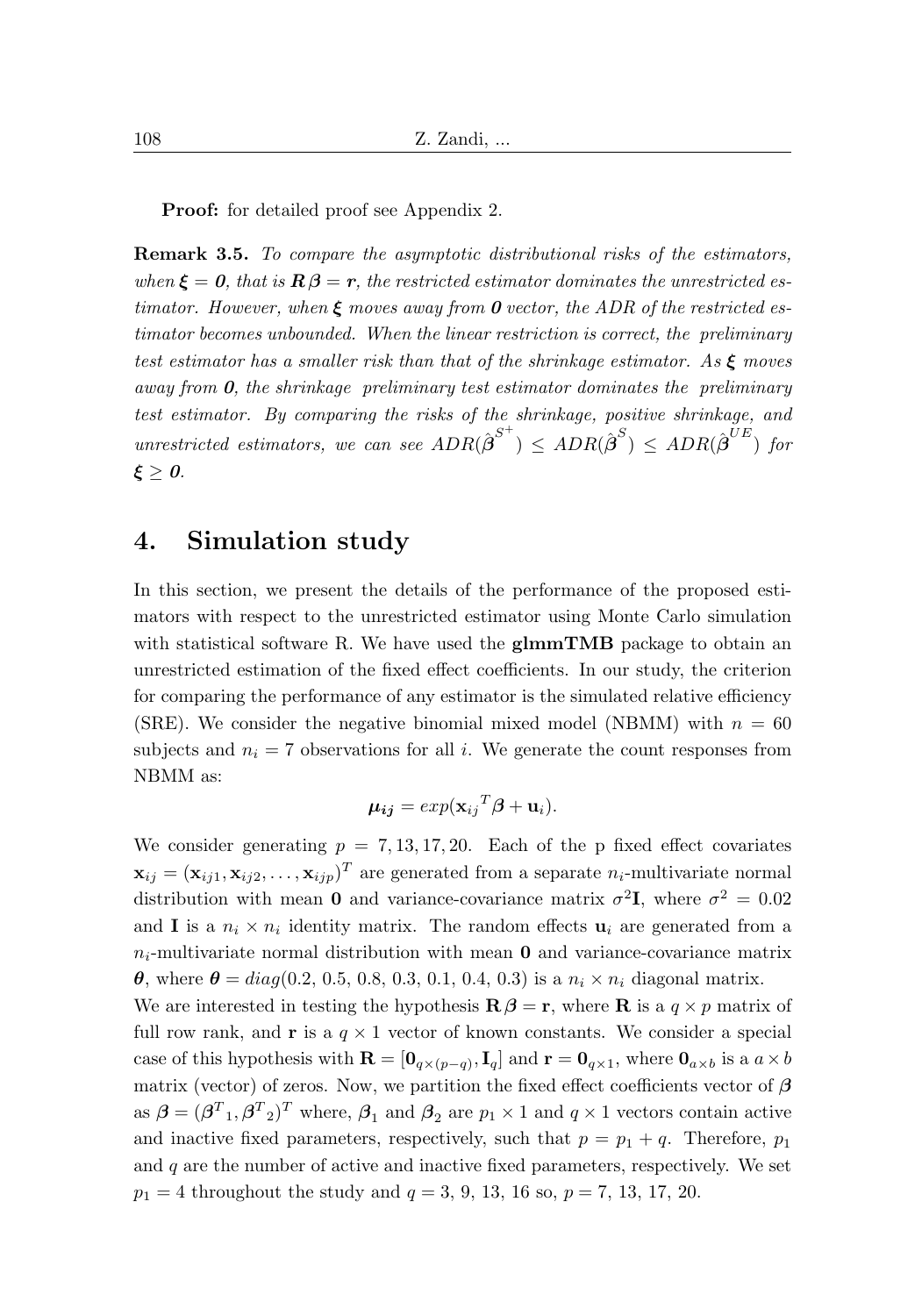Proof: for detailed proof see Appendix 2.

Remark 3.5. To compare the asymptotic distributional risks of the estimators, when  $\xi = 0$ , that is  $\mathbf{R}\beta = r$ , the restricted estimator dominates the unrestricted estimator. However, when  $\xi$  moves away from 0 vector, the ADR of the restricted estimator becomes unbounded. When the linear restriction is correct, the preliminary test estimator has a smaller risk than that of the shrinkage estimator. As  $\xi$  moves away from  $\boldsymbol{0}$ , the shrinkage preliminary test estimator dominates the preliminary test estimator. By comparing the risks of the shrinkage, positive shrinkage, and unrestricted estimators, we can see  $ADR(\hat{\boldsymbol{\beta}}^{S^+}) \leq ADR(\hat{\boldsymbol{\beta}}^S) \leq ADR(\hat{\boldsymbol{\beta}}^{UE})$  for  $\xi \geq 0$ .

### 4. Simulation study

In this section, we present the details of the performance of the proposed estimators with respect to the unrestricted estimator using Monte Carlo simulation with statistical software R. We have used the **glmmTMB** package to obtain an unrestricted estimation of the fixed effect coefficients. In our study, the criterion for comparing the performance of any estimator is the simulated relative efficiency (SRE). We consider the negative binomial mixed model (NBMM) with  $n = 60$ subjects and  $n_i = 7$  observations for all i. We generate the count responses from NBMM as:

$$
\mu_{ij} = exp(\mathbf{x}_{ij}^T \boldsymbol{\beta} + \mathbf{u}_i).
$$

We consider generating  $p = 7, 13, 17, 20$ . Each of the p fixed effect covariates  $\mathbf{x}_{ij} = (\mathbf{x}_{ij1}, \mathbf{x}_{ij2}, \dots, \mathbf{x}_{ijp})^T$  are generated from a separate  $n_i$ -multivariate normal distribution with mean **0** and variance-covariance matrix  $\sigma^2$ **I**, where  $\sigma^2 = 0.02$ and **I** is a  $n_i \times n_i$  identity matrix. The random effects  $\mathbf{u}_i$  are generated from a  $n_i$ -multivariate normal distribution with mean **0** and variance-covariance matrix θ, where  $θ = diag(0.2, 0.5, 0.8, 0.3, 0.1, 0.4, 0.3)$  is a  $n_i \times n_i$  diagonal matrix.

We are interested in testing the hypothesis  $\mathbf{R}\beta = \mathbf{r}$ , where **R** is a  $q \times p$  matrix of full row rank, and **r** is a  $q \times 1$  vector of known constants. We consider a special case of this hypothesis with  $\mathbf{R} = [\mathbf{0}_{q \times (p-q)}, \mathbf{I}_q]$  and  $\mathbf{r} = \mathbf{0}_{q \times 1}$ , where  $\mathbf{0}_{q \times b}$  is a  $q \times b$ matrix (vector) of zeros. Now, we partition the fixed effect coefficients vector of  $\beta$ as  $\boldsymbol{\beta} = (\boldsymbol{\beta}^T_1, \boldsymbol{\beta}^T_2)^T$  where,  $\boldsymbol{\beta}_1$  and  $\boldsymbol{\beta}_2$  are  $p_1 \times 1$  and  $q \times 1$  vectors contain active and inactive fixed parameters, respectively, such that  $p = p_1 + q$ . Therefore,  $p_1$ and  $q$  are the number of active and inactive fixed parameters, respectively. We set  $p_1 = 4$  throughout the study and  $q = 3, 9, 13, 16$  so,  $p = 7, 13, 17, 20$ .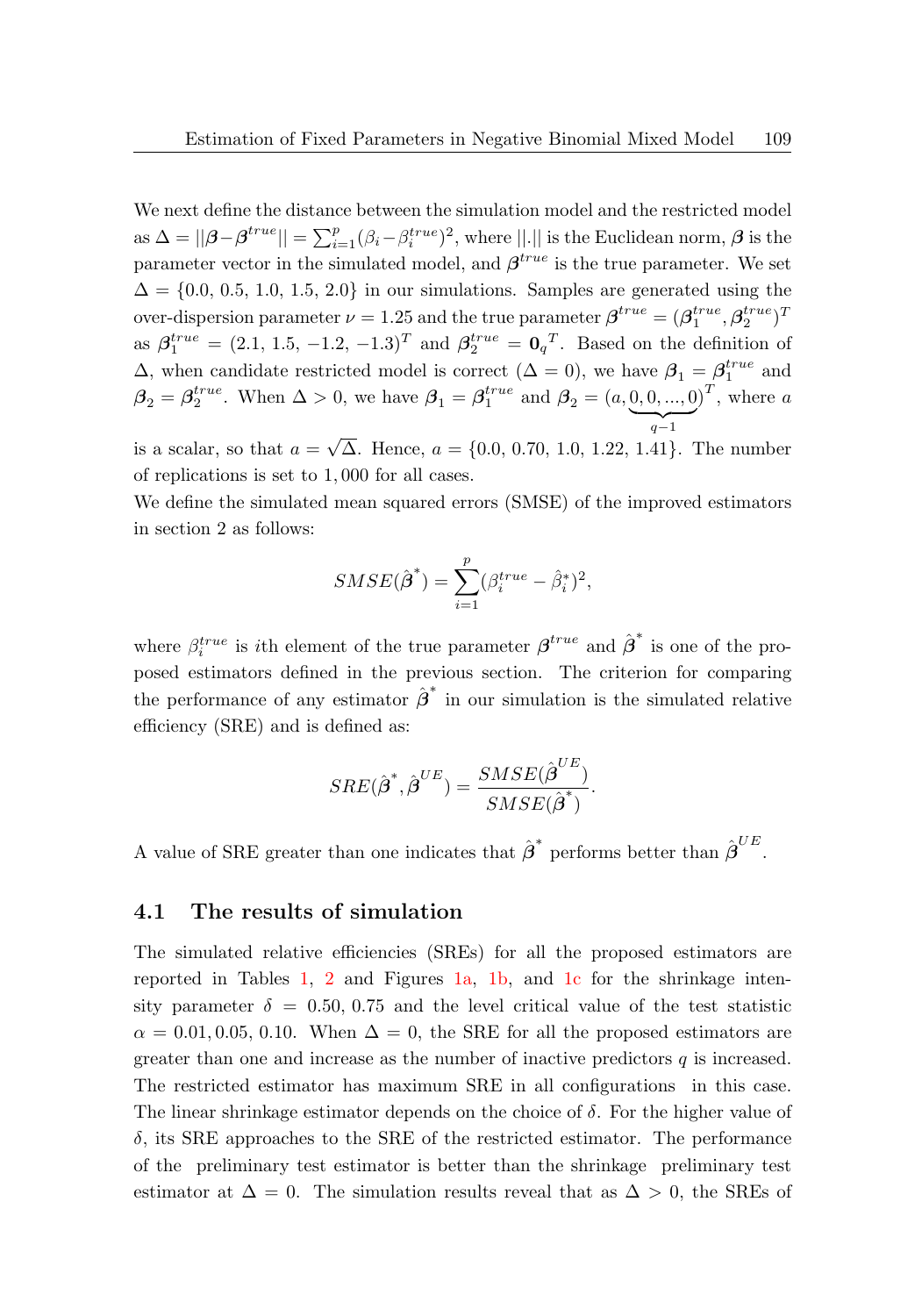We next define the distance between the simulation model and the restricted model as  $\Delta = ||\boldsymbol{\beta} - \boldsymbol{\beta}^{true}|| = \sum_{i=1}^{p} (\beta_i - \beta_i^{true})^2$ , where  $||.||$  is the Euclidean norm,  $\boldsymbol{\beta}$  is the parameter vector in the simulated model, and  $\beta^{true}$  is the true parameter. We set  $\Delta = \{0.0, 0.5, 1.0, 1.5, 2.0\}$  in our simulations. Samples are generated using the over-dispersion parameter  $\nu = 1.25$  and the true parameter  $\boldsymbol{\beta}^{true} = (\boldsymbol{\beta}_1^{true}, \boldsymbol{\beta}_2^{true})^T$ as  $\beta_1^{true} = (2.1, 1.5, -1.2, -1.3)^T$  and  $\beta_2^{true} = \mathbf{0}_q^T$ . Based on the definition of  $\Delta$ , when candidate restricted model is correct  $(\Delta = 0)$ , we have  $\beta_1 = \beta_1^{true}$  and  $\Delta$ , when candidate restricted model is correct  $(\Delta = 0)$ , we have  $\beta_1 = \beta_1^{true}$  and  $\beta_2 = \beta_2^{true}$ . When  $\Delta > 0$ , we have  $\beta_1 = \beta_1^{true}$  and  $\beta_2 = (a, 0, 0, ..., 0)$  $q-1$  $\int_0^T$ , where a √

is a scalar, so that  $a = \sqrt{\Delta}$ . Hence,  $a = \{0.0, 0.70, 1.0, 1.22, 1.41\}$ . The number of replications is set to 1, 000 for all cases.

We define the simulated mean squared errors (SMSE) of the improved estimators in section 2 as follows:

$$
SMSE(\hat{\boldsymbol{\beta}}^*) = \sum_{i=1}^p (\beta_i^{true} - \hat{\beta}_i^*)^2,
$$

where  $\beta_i^{true}$  is *i*th element of the true parameter  $\beta^{true}$  and  $\hat{\beta}^*$  is one of the proposed estimators defined in the previous section. The criterion for comparing the performance of any estimator  $\hat{\boldsymbol{\beta}}^*$  in our simulation is the simulated relative efficiency (SRE) and is defined as:

$$
SRE(\hat{\boldsymbol{\beta}}^*,\hat{\boldsymbol{\beta}}^{UE})=\frac{SMSE(\hat{\boldsymbol{\beta}}^{UE})}{SMSE(\hat{\boldsymbol{\beta}}^*)}.
$$

A value of SRE greater than one indicates that  $\hat{\boldsymbol{\beta}}^*$  performs better than  $\hat{\boldsymbol{\beta}}^{UE}$ .

#### 4.1 The results of simulation

The simulated relative efficiencies (SREs) for all the proposed estimators are reported in Tables [1,](#page-11-0) [2](#page-13-0) and Figures [1a,](#page-12-0) [1b,](#page-12-0) and [1c](#page-12-0) for the shrinkage intensity parameter  $\delta = 0.50, 0.75$  and the level critical value of the test statistic  $\alpha = 0.01, 0.05, 0.10$ . When  $\Delta = 0$ , the SRE for all the proposed estimators are greater than one and increase as the number of inactive predictors  $q$  is increased. The restricted estimator has maximum SRE in all configurations in this case. The linear shrinkage estimator depends on the choice of  $\delta$ . For the higher value of  $\delta$ , its SRE approaches to the SRE of the restricted estimator. The performance of the preliminary test estimator is better than the shrinkage preliminary test estimator at  $\Delta = 0$ . The simulation results reveal that as  $\Delta > 0$ , the SREs of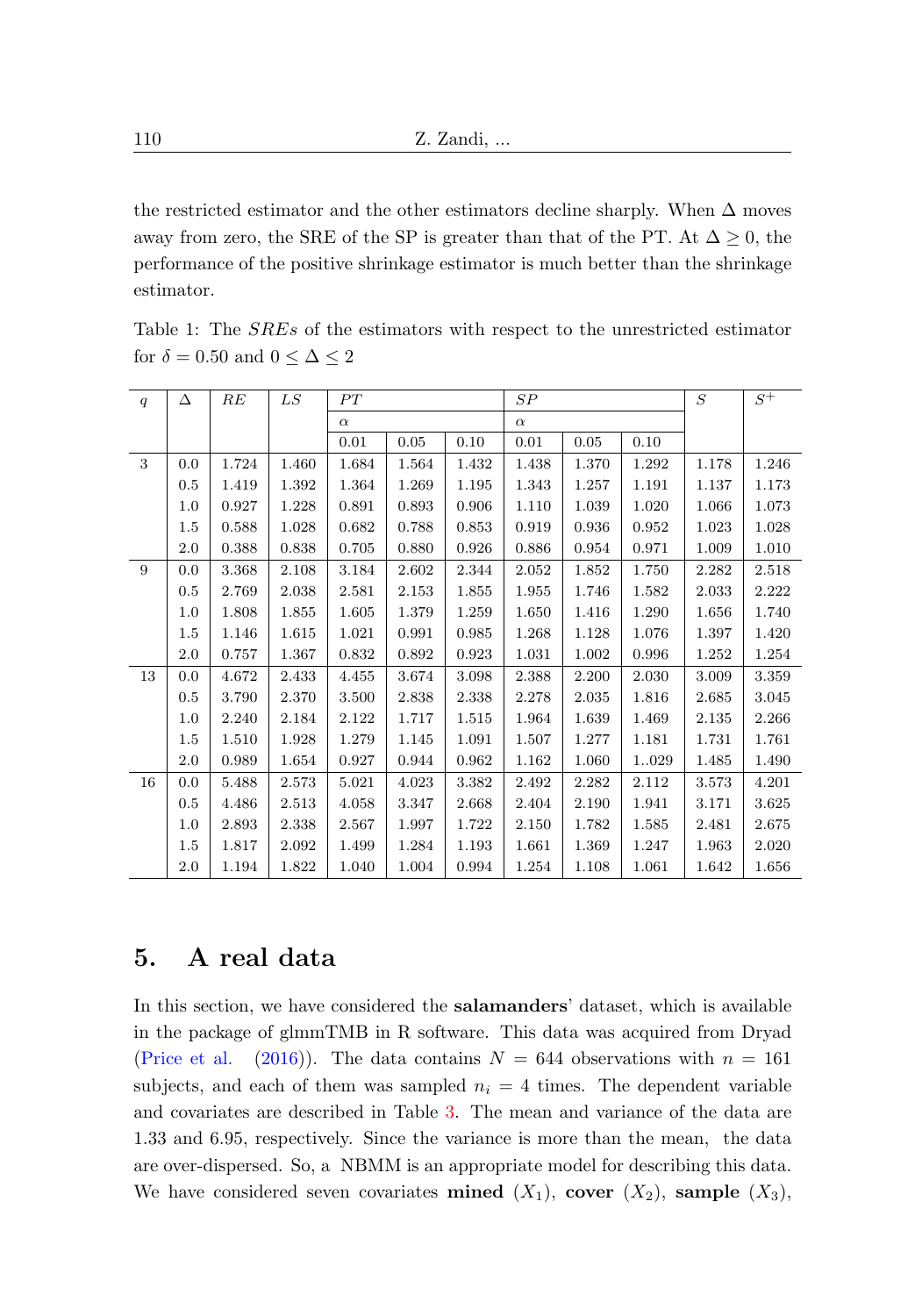the restricted estimator and the other estimators decline sharply. When  $\Delta$  moves away from zero, the SRE of the SP is greater than that of the PT. At  $\Delta \geq 0$ , the performance of the positive shrinkage estimator is much better than the shrinkage estimator.

| q  | Δ   | RE    | LS    | PT       |       | SP       |       |       | S     | $S^+$ |       |
|----|-----|-------|-------|----------|-------|----------|-------|-------|-------|-------|-------|
|    |     |       |       | $\alpha$ |       | $\alpha$ |       |       |       |       |       |
|    |     |       |       | 0.01     | 0.05  | 0.10     | 0.01  | 0.05  | 0.10  |       |       |
| 3  | 0.0 | 1.724 | 1.460 | 1.684    | 1.564 | 1.432    | 1.438 | 1.370 | 1.292 | 1.178 | 1.246 |
|    | 0.5 | 1.419 | 1.392 | 1.364    | 1.269 | 1.195    | 1.343 | 1.257 | 1.191 | 1.137 | 1.173 |
|    | 1.0 | 0.927 | 1.228 | 0.891    | 0.893 | 0.906    | 1.110 | 1.039 | 1.020 | 1.066 | 1.073 |
|    | 1.5 | 0.588 | 1.028 | 0.682    | 0.788 | 0.853    | 0.919 | 0.936 | 0.952 | 1.023 | 1.028 |
|    | 2.0 | 0.388 | 0.838 | 0.705    | 0.880 | 0.926    | 0.886 | 0.954 | 0.971 | 1.009 | 1.010 |
| 9  | 0.0 | 3.368 | 2.108 | 3.184    | 2.602 | 2.344    | 2.052 | 1.852 | 1.750 | 2.282 | 2.518 |
|    | 0.5 | 2.769 | 2.038 | 2.581    | 2.153 | 1.855    | 1.955 | 1.746 | 1.582 | 2.033 | 2.222 |
|    | 1.0 | 1.808 | 1.855 | 1.605    | 1.379 | 1.259    | 1.650 | 1.416 | 1.290 | 1.656 | 1.740 |
|    | 1.5 | 1.146 | 1.615 | 1.021    | 0.991 | 0.985    | 1.268 | 1.128 | 1.076 | 1.397 | 1.420 |
|    | 2.0 | 0.757 | 1.367 | 0.832    | 0.892 | 0.923    | 1.031 | 1.002 | 0.996 | 1.252 | 1.254 |
| 13 | 0.0 | 4.672 | 2.433 | 4.455    | 3.674 | 3.098    | 2.388 | 2.200 | 2.030 | 3.009 | 3.359 |
|    | 0.5 | 3.790 | 2.370 | 3.500    | 2.838 | 2.338    | 2.278 | 2.035 | 1.816 | 2.685 | 3.045 |
|    | 1.0 | 2.240 | 2.184 | 2.122    | 1.717 | 1.515    | 1.964 | 1.639 | 1.469 | 2.135 | 2.266 |
|    | 1.5 | 1.510 | 1.928 | 1.279    | 1.145 | 1.091    | 1.507 | 1.277 | 1.181 | 1.731 | 1.761 |
|    | 2.0 | 0.989 | 1.654 | 0.927    | 0.944 | 0.962    | 1.162 | 1.060 | 1029  | 1.485 | 1.490 |
| 16 | 0.0 | 5.488 | 2.573 | 5.021    | 4.023 | 3.382    | 2.492 | 2.282 | 2.112 | 3.573 | 4.201 |
|    | 0.5 | 4.486 | 2.513 | 4.058    | 3.347 | 2.668    | 2.404 | 2.190 | 1.941 | 3.171 | 3.625 |
|    | 1.0 | 2.893 | 2.338 | 2.567    | 1.997 | 1.722    | 2.150 | 1.782 | 1.585 | 2.481 | 2.675 |
|    | 1.5 | 1.817 | 2.092 | 1.499    | 1.284 | 1.193    | 1.661 | 1.369 | 1.247 | 1.963 | 2.020 |
|    | 2.0 | 1.194 | 1.822 | 1.040    | 1.004 | 0.994    | 1.254 | 1.108 | 1.061 | 1.642 | 1.656 |

<span id="page-11-0"></span>Table 1: The SREs of the estimators with respect to the unrestricted estimator for  $\delta=0.50$  and  $0\leq\Delta\leq2$ 

### 5. A real data

In this section, we have considered the salamanders' dataset, which is available in the package of glmmTMB in R software. This data was acquired from Dryad [\(Price et al.](#page-16-8) [\(2016\)](#page-16-8)). The data contains  $N = 644$  observations with  $n = 161$ subjects, and each of them was sampled  $n<sub>i</sub> = 4$  times. The dependent variable and covariates are described in Table [3.](#page-15-0) The mean and variance of the data are 1.33 and 6.95, respectively. Since the variance is more than the mean, the data are over-dispersed. So, a NBMM is an appropriate model for describing this data. We have considered seven covariates **mined**  $(X_1)$ , **cover**  $(X_2)$ , **sample**  $(X_3)$ ,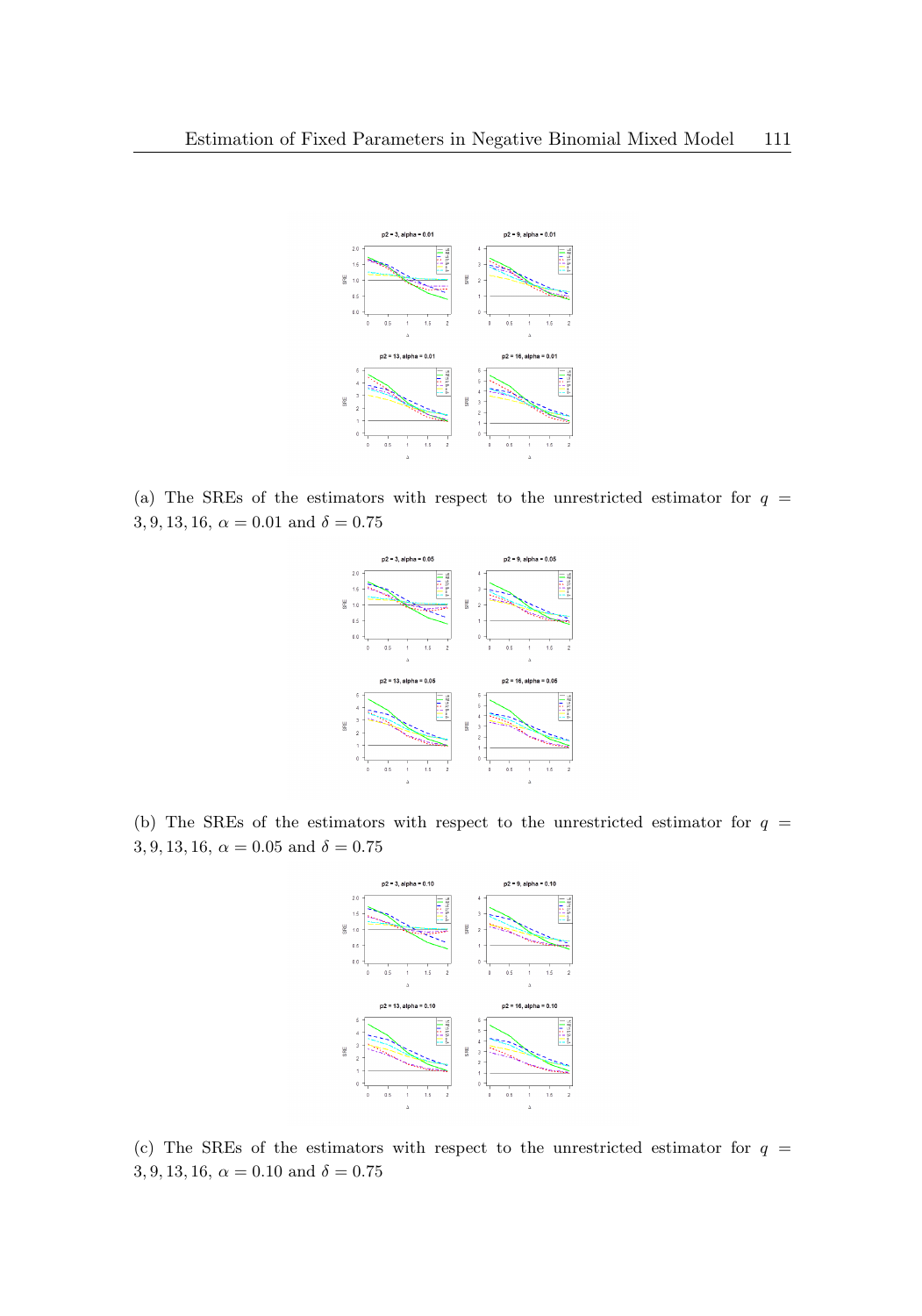<span id="page-12-0"></span>

(a) The SREs of the estimators with respect to the unrestricted estimator for  $q =$ 3, 9, 13, 16,  $\alpha = 0.01$  and  $\delta = 0.75$ 



(b) The SREs of the estimators with respect to the unrestricted estimator for  $q =$ 3, 9, 13, 16,  $\alpha = 0.05$  and  $\delta = 0.75$ 



(c) The SREs of the estimators with respect to the unrestricted estimator for  $q =$ 3, 9, 13, 16,  $\alpha = 0.10$  and  $\delta = 0.75$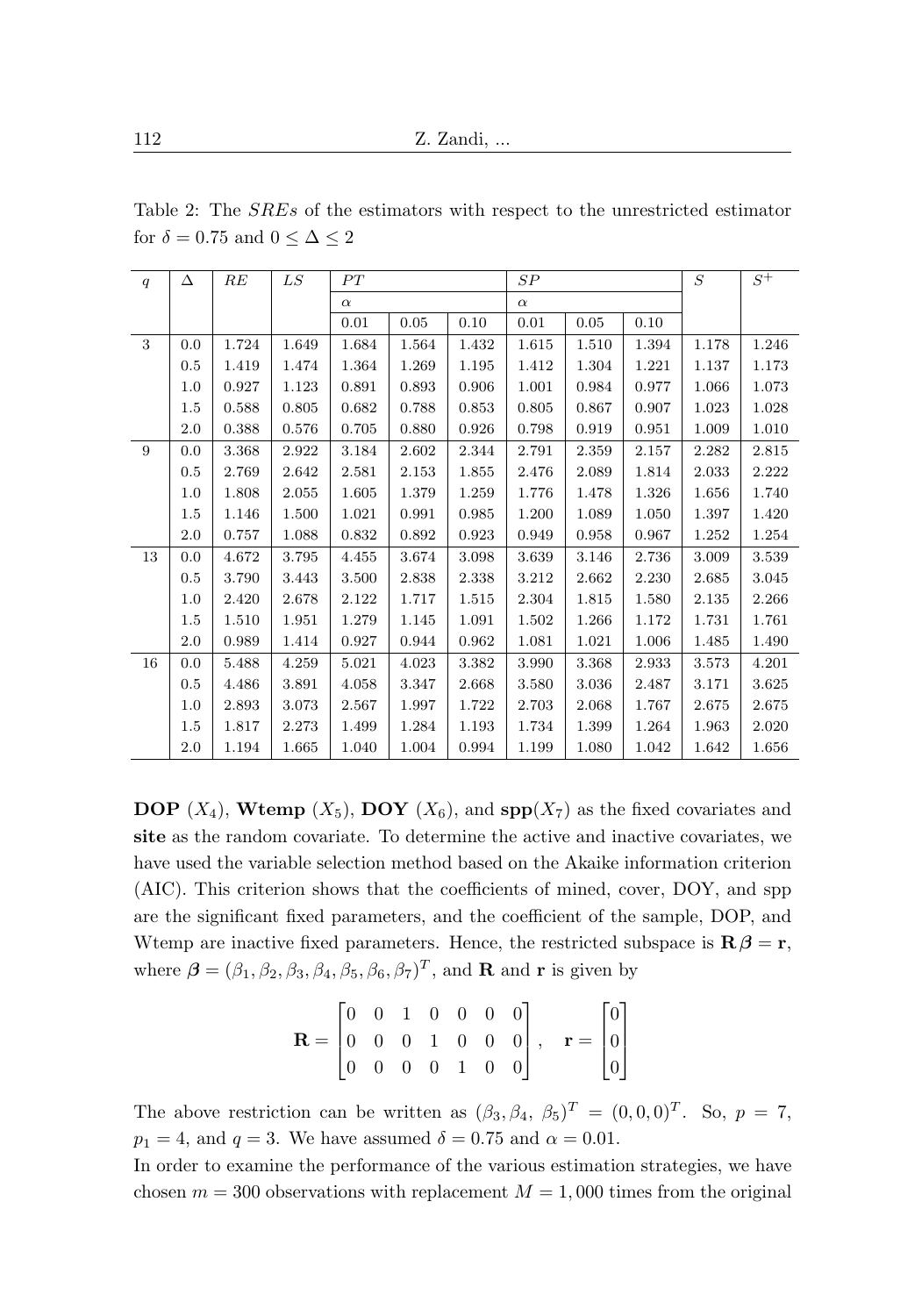| q  | Δ       | RE    | LS    | PT       |       | SP       |       |       | S     | $S^+$ |       |
|----|---------|-------|-------|----------|-------|----------|-------|-------|-------|-------|-------|
|    |         |       |       | $\alpha$ |       | $\alpha$ |       |       |       |       |       |
|    |         |       |       | 0.01     | 0.05  | 0.10     | 0.01  | 0.05  | 0.10  |       |       |
| 3  | 0.0     | 1.724 | 1.649 | 1.684    | 1.564 | 1.432    | 1.615 | 1.510 | 1.394 | 1.178 | 1.246 |
|    | $0.5\,$ | 1.419 | 1.474 | 1.364    | 1.269 | 1.195    | 1.412 | 1.304 | 1.221 | 1.137 | 1.173 |
|    | 1.0     | 0.927 | 1.123 | 0.891    | 0.893 | 0.906    | 1.001 | 0.984 | 0.977 | 1.066 | 1.073 |
|    | 1.5     | 0.588 | 0.805 | 0.682    | 0.788 | 0.853    | 0.805 | 0.867 | 0.907 | 1.023 | 1.028 |
|    | 2.0     | 0.388 | 0.576 | 0.705    | 0.880 | 0.926    | 0.798 | 0.919 | 0.951 | 1.009 | 1.010 |
| 9  | 0.0     | 3.368 | 2.922 | 3.184    | 2.602 | 2.344    | 2.791 | 2.359 | 2.157 | 2.282 | 2.815 |
|    | $0.5\,$ | 2.769 | 2.642 | 2.581    | 2.153 | 1.855    | 2.476 | 2.089 | 1.814 | 2.033 | 2.222 |
|    | 1.0     | 1.808 | 2.055 | 1.605    | 1.379 | 1.259    | 1.776 | 1.478 | 1.326 | 1.656 | 1.740 |
|    | 1.5     | 1.146 | 1.500 | 1.021    | 0.991 | 0.985    | 1.200 | 1.089 | 1.050 | 1.397 | 1.420 |
|    | 2.0     | 0.757 | 1.088 | 0.832    | 0.892 | 0.923    | 0.949 | 0.958 | 0.967 | 1.252 | 1.254 |
| 13 | 0.0     | 4.672 | 3.795 | 4.455    | 3.674 | 3.098    | 3.639 | 3.146 | 2.736 | 3.009 | 3.539 |
|    | 0.5     | 3.790 | 3.443 | 3.500    | 2.838 | 2.338    | 3.212 | 2.662 | 2.230 | 2.685 | 3.045 |
|    | 1.0     | 2.420 | 2.678 | 2.122    | 1.717 | 1.515    | 2.304 | 1.815 | 1.580 | 2.135 | 2.266 |
|    | 1.5     | 1.510 | 1.951 | 1.279    | 1.145 | 1.091    | 1.502 | 1.266 | 1.172 | 1.731 | 1.761 |
|    | 2.0     | 0.989 | 1.414 | 0.927    | 0.944 | 0.962    | 1.081 | 1.021 | 1.006 | 1.485 | 1.490 |
| 16 | 0.0     | 5.488 | 4.259 | 5.021    | 4.023 | 3.382    | 3.990 | 3.368 | 2.933 | 3.573 | 4.201 |
|    | 0.5     | 4.486 | 3.891 | 4.058    | 3.347 | 2.668    | 3.580 | 3.036 | 2.487 | 3.171 | 3.625 |
|    | 1.0     | 2.893 | 3.073 | 2.567    | 1.997 | 1.722    | 2.703 | 2.068 | 1.767 | 2.675 | 2.675 |
|    | 1.5     | 1.817 | 2.273 | 1.499    | 1.284 | 1.193    | 1.734 | 1.399 | 1.264 | 1.963 | 2.020 |
|    | 2.0     | 1.194 | 1.665 | 1.040    | 1.004 | 0.994    | 1.199 | 1.080 | 1.042 | 1.642 | 1.656 |

<span id="page-13-0"></span>Table 2: The SREs of the estimators with respect to the unrestricted estimator for  $\delta = 0.75$  and  $0 \leq \Delta \leq 2$ 

**DOP**  $(X_4)$ , **Wtemp**  $(X_5)$ , **DOY**  $(X_6)$ , and **spp** $(X_7)$  as the fixed covariates and site as the random covariate. To determine the active and inactive covariates, we have used the variable selection method based on the Akaike information criterion (AIC). This criterion shows that the coefficients of mined, cover, DOY, and spp are the significant fixed parameters, and the coefficient of the sample, DOP, and Wtemp are inactive fixed parameters. Hence, the restricted subspace is  $\mathbf{R}\beta = \mathbf{r}$ , where  $\boldsymbol{\beta} = (\beta_1, \beta_2, \beta_3, \beta_4, \beta_5, \beta_6, \beta_7)^T$ , and **R** and **r** is given by

$$
\mathbf{R} = \begin{bmatrix} 0 & 0 & 1 & 0 & 0 & 0 & 0 \\ 0 & 0 & 0 & 1 & 0 & 0 & 0 \\ 0 & 0 & 0 & 0 & 1 & 0 & 0 \end{bmatrix}, \quad \mathbf{r} = \begin{bmatrix} 0 \\ 0 \\ 0 \end{bmatrix}
$$

The above restriction can be written as  $(\beta_3, \beta_4, \beta_5)^T = (0, 0, 0)^T$ . So,  $p = 7$ ,  $p_1 = 4$ , and  $q = 3$ . We have assumed  $\delta = 0.75$  and  $\alpha = 0.01$ .

In order to examine the performance of the various estimation strategies, we have chosen  $m = 300$  observations with replacement  $M = 1,000$  times from the original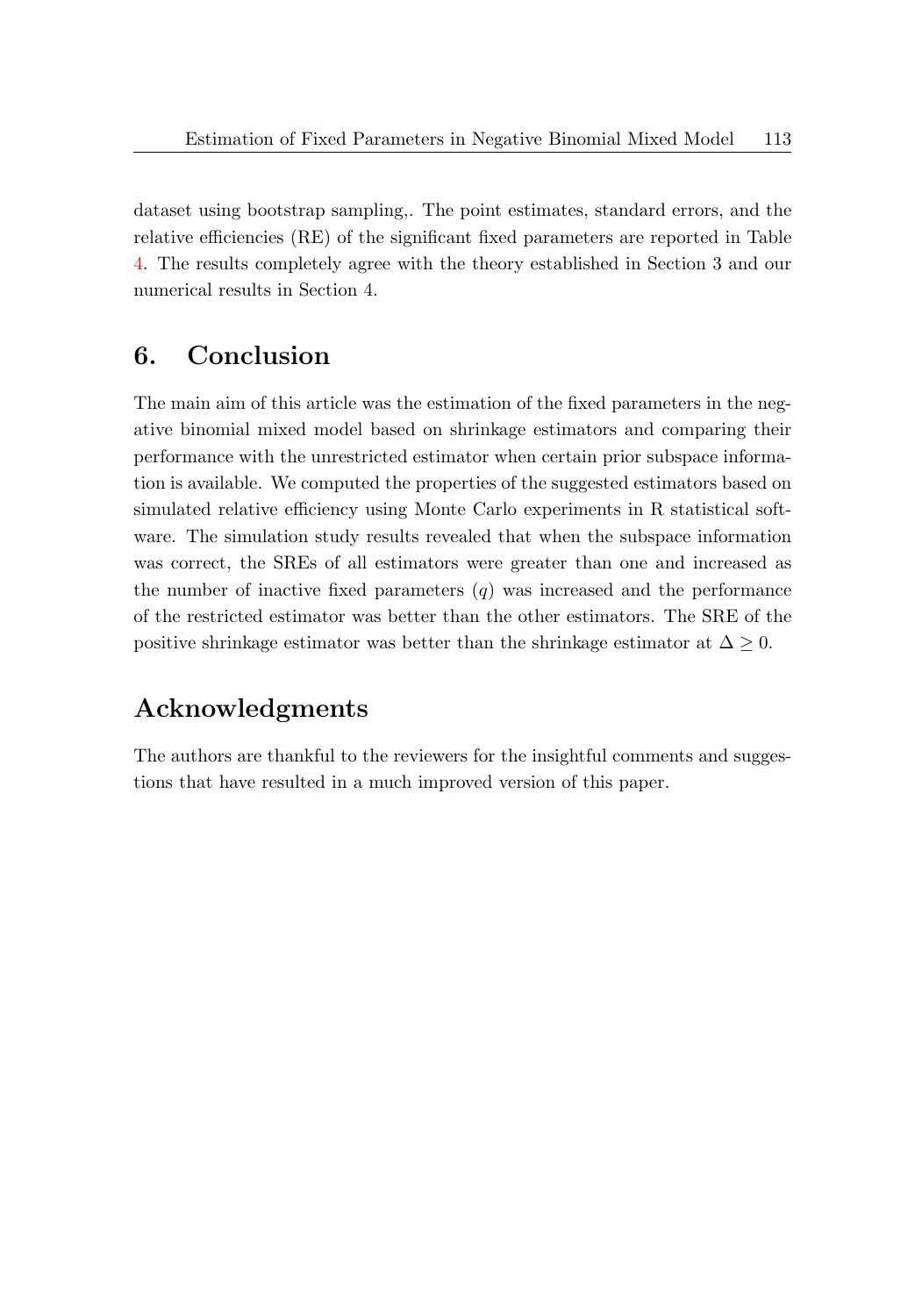dataset using bootstrap sampling,. The point estimates, standard errors, and the relative efficiencies (RE) of the significant fixed parameters are reported in Table [4.](#page-17-0) The results completely agree with the theory established in Section 3 and our numerical results in Section 4.

### 6. Conclusion

The main aim of this article was the estimation of the fixed parameters in the negative binomial mixed model based on shrinkage estimators and comparing their performance with the unrestricted estimator when certain prior subspace information is available. We computed the properties of the suggested estimators based on simulated relative efficiency using Monte Carlo experiments in R statistical software. The simulation study results revealed that when the subspace information was correct, the SREs of all estimators were greater than one and increased as the number of inactive fixed parameters  $(q)$  was increased and the performance of the restricted estimator was better than the other estimators. The SRE of the positive shrinkage estimator was better than the shrinkage estimator at  $\Delta \geq 0$ .

# Acknowledgments

The authors are thankful to the reviewers for the insightful comments and suggestions that have resulted in a much improved version of this paper.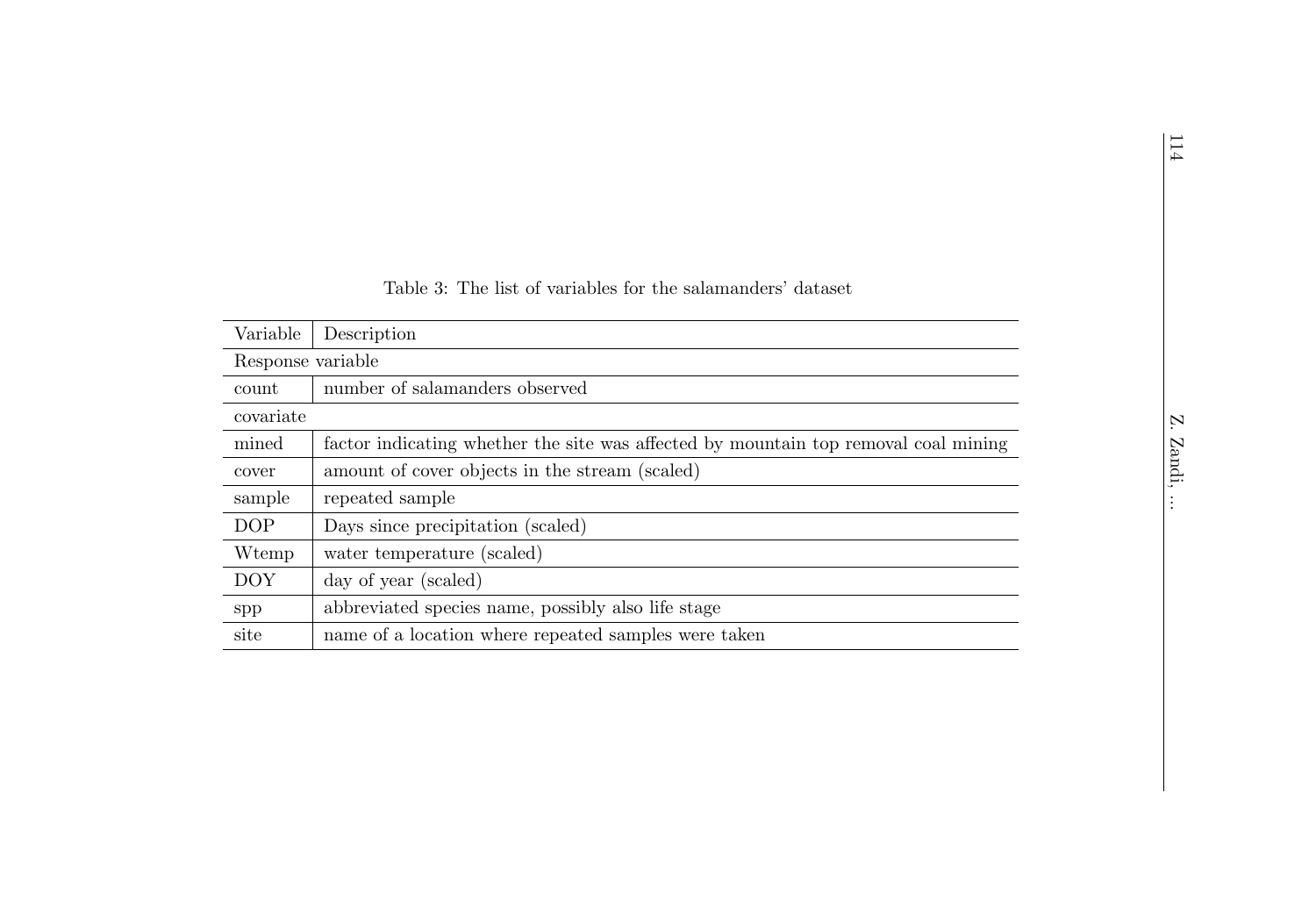<span id="page-15-0"></span>

|                   |                                                                                     |  | 114    |  |  |  |  |  |
|-------------------|-------------------------------------------------------------------------------------|--|--------|--|--|--|--|--|
|                   |                                                                                     |  |        |  |  |  |  |  |
|                   |                                                                                     |  |        |  |  |  |  |  |
|                   |                                                                                     |  |        |  |  |  |  |  |
|                   | Table 3: The list of variables for the salamanders' dataset                         |  |        |  |  |  |  |  |
| Variable          | Description                                                                         |  |        |  |  |  |  |  |
| Response variable |                                                                                     |  |        |  |  |  |  |  |
| count             | number of salamanders observed                                                      |  |        |  |  |  |  |  |
| covariate         |                                                                                     |  | Ņ.     |  |  |  |  |  |
| mined             | factor indicating whether the site was affected by mountain top removal coal mining |  |        |  |  |  |  |  |
| cover             | amount of cover objects in the stream (scaled)                                      |  | Zandi, |  |  |  |  |  |
| sample            | repeated sample                                                                     |  |        |  |  |  |  |  |
| <b>DOP</b>        | Days since precipitation (scaled)                                                   |  |        |  |  |  |  |  |
| W <sub>temp</sub> | water temperature (scaled)                                                          |  |        |  |  |  |  |  |
| <b>DOY</b>        | day of year (scaled)                                                                |  |        |  |  |  |  |  |
| spp               | abbreviated species name, possibly also life stage                                  |  |        |  |  |  |  |  |
| site              | name of a location where repeated samples were taken                                |  |        |  |  |  |  |  |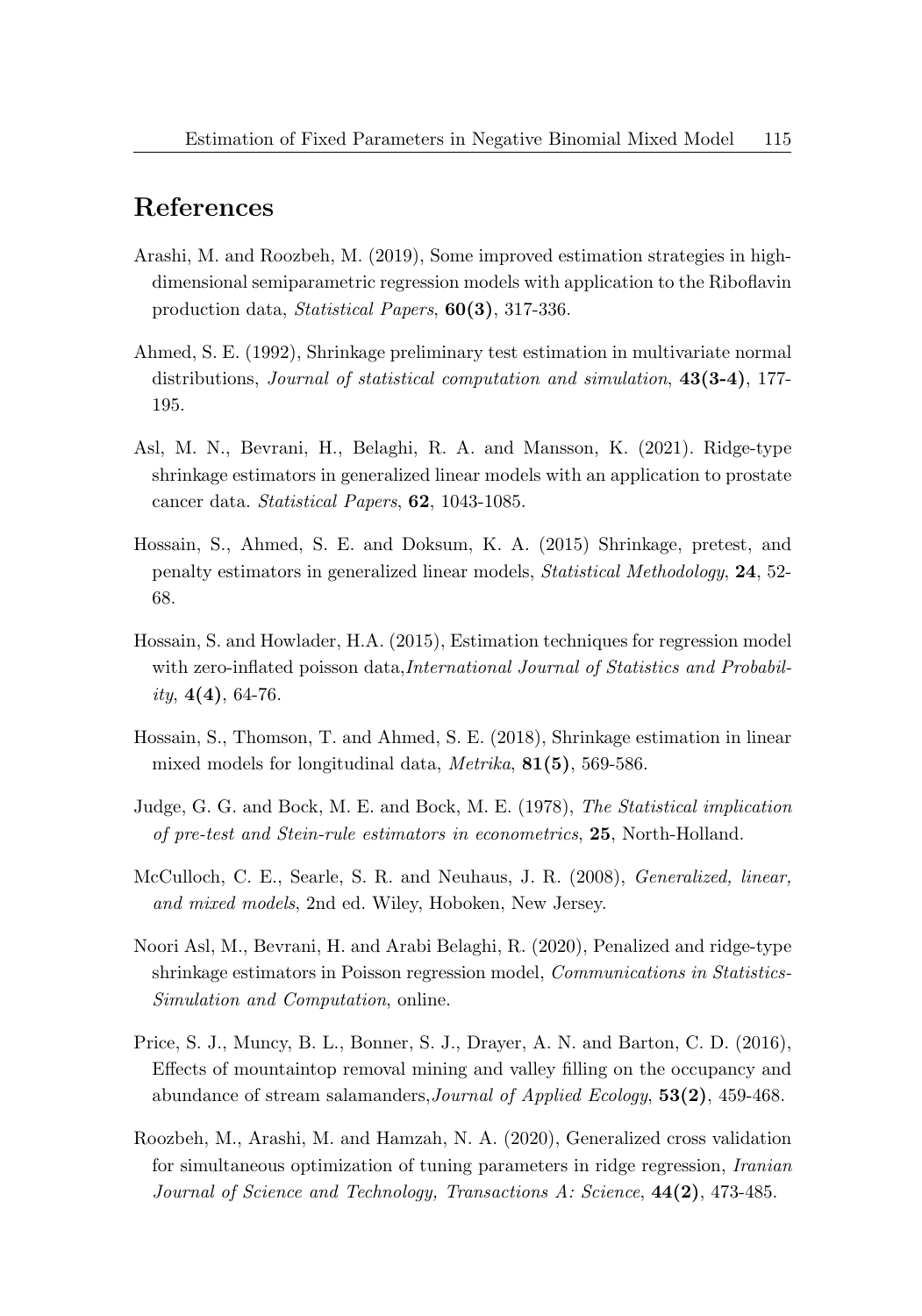### References

- <span id="page-16-4"></span>Arashi, M. and Roozbeh, M. (2019), Some improved estimation strategies in highdimensional semiparametric regression models with application to the Riboflavin production data, Statistical Papers, 60(3), 317-336.
- <span id="page-16-7"></span>Ahmed, S. E. (1992), Shrinkage preliminary test estimation in multivariate normal distributions, Journal of statistical computation and simulation, 43(3-4), 177- 195.
- Asl, M. N., Bevrani, H., Belaghi, R. A. and Mansson, K. (2021). Ridge-type shrinkage estimators in generalized linear models with an application to prostate cancer data. Statistical Papers, 62, 1043-1085.
- <span id="page-16-2"></span>Hossain, S., Ahmed, S. E. and Doksum, K. A. (2015) Shrinkage, pretest, and penalty estimators in generalized linear models, Statistical Methodology, 24, 52- 68.
- <span id="page-16-6"></span>Hossain, S. and Howlader, H.A. (2015), Estimation techniques for regression model with zero-inflated poisson data,*International Journal of Statistics and Probabil*ity,  $4(4)$ , 64-76.
- <span id="page-16-1"></span>Hossain, S., Thomson, T. and Ahmed, S. E. (2018), Shrinkage estimation in linear mixed models for longitudinal data, Metrika, 81(5), 569-586.
- <span id="page-16-9"></span>Judge, G. G. and Bock, M. E. and Bock, M. E. (1978), The Statistical implication of pre-test and Stein-rule estimators in econometrics, 25, North-Holland.
- <span id="page-16-0"></span>McCulloch, C. E., Searle, S. R. and Neuhaus, J. R. (2008), Generalized, linear, and mixed models, 2nd ed. Wiley, Hoboken, New Jersey.
- <span id="page-16-5"></span>Noori Asl, M., Bevrani, H. and Arabi Belaghi, R. (2020), Penalized and ridge-type shrinkage estimators in Poisson regression model, Communications in Statistics-Simulation and Computation, online.
- <span id="page-16-8"></span>Price, S. J., Muncy, B. L., Bonner, S. J., Drayer, A. N. and Barton, C. D. (2016), Effects of mountaintop removal mining and valley filling on the occupancy and abundance of stream salamanders,Journal of Applied Ecology, 53(2), 459-468.
- <span id="page-16-3"></span>Roozbeh, M., Arashi, M. and Hamzah, N. A. (2020), Generalized cross validation for simultaneous optimization of tuning parameters in ridge regression, Iranian Journal of Science and Technology, Transactions A: Science, 44(2), 473-485.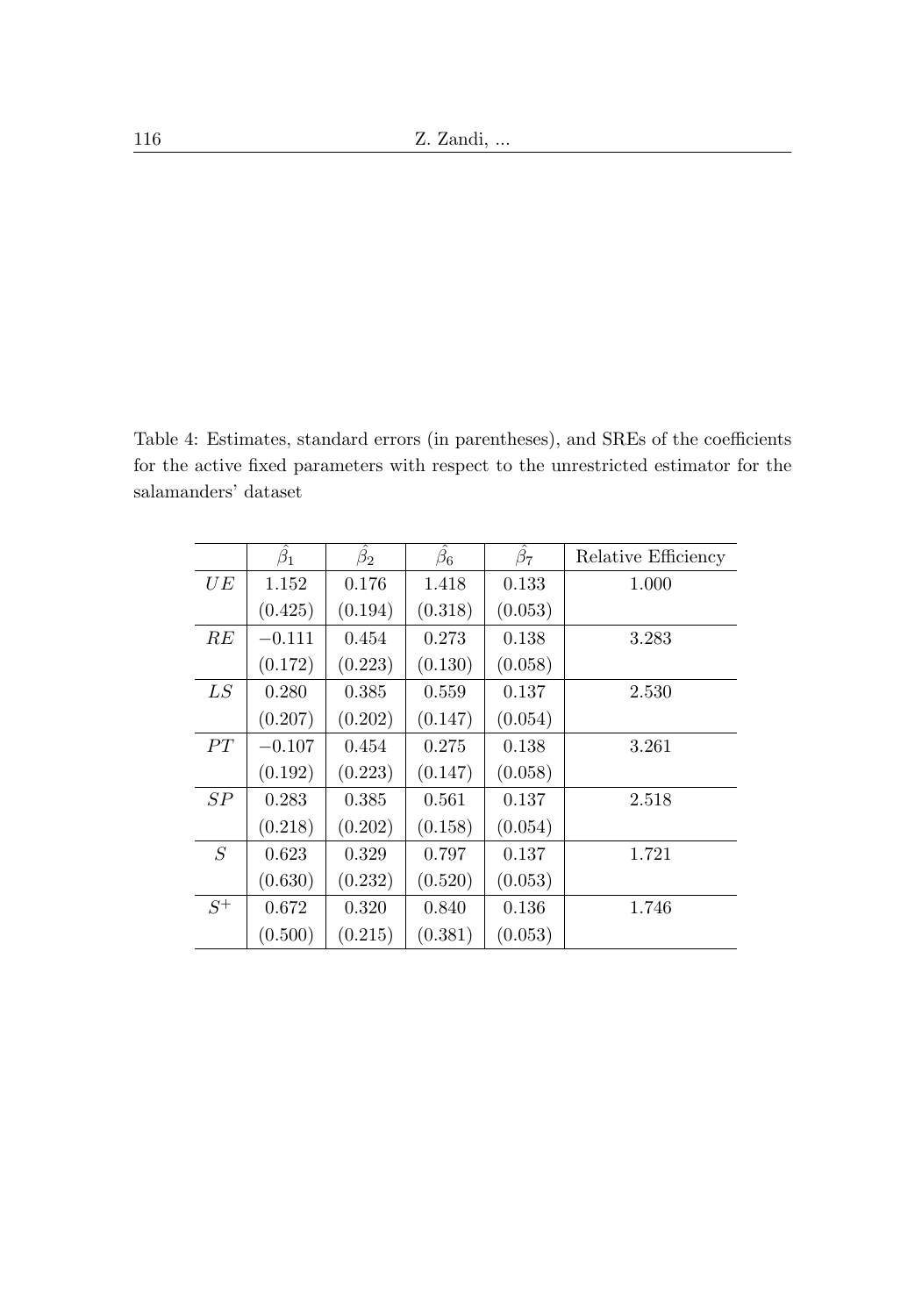<span id="page-17-0"></span>Table 4: Estimates, standard errors (in parentheses), and SREs of the coefficients for the active fixed parameters with respect to the unrestricted estimator for the salamanders' dataset

|       | $\hat{\beta_1}$ | $\hat{\beta_2}$ | $\hat{\beta_6}$ | $\hat{\beta_7}$ | Relative Efficiency |
|-------|-----------------|-----------------|-----------------|-----------------|---------------------|
| UE    | 1.152           | 0.176           | 1.418           | 0.133           | 1.000               |
|       | (0.425)         | (0.194)         | (0.318)         | (0.053)         |                     |
| RE    | $-0.111$        | 0.454           | 0.273           | 0.138           | 3.283               |
|       | (0.172)         | (0.223)         | (0.130)         | (0.058)         |                     |
| LS    | 0.280           | 0.385           | 0.559           | 0.137           | 2.530               |
|       | (0.207)         | (0.202)         | (0.147)         | (0.054)         |                     |
| PT    | $-0.107$        | 0.454           | 0.275           | 0.138           | 3.261               |
|       | (0.192)         | (0.223)         | (0.147)         | (0.058)         |                     |
| SP    | 0.283           | 0.385           | 0.561           | 0.137           | 2.518               |
|       | (0.218)         | (0.202)         | (0.158)         | (0.054)         |                     |
| S     | 0.623           | 0.329           | 0.797           | 0.137           | 1.721               |
|       | (0.630)         | (0.232)         | (0.520)         | (0.053)         |                     |
| $S^+$ | 0.672           | 0.320           | 0.840           | 0.136           | 1.746               |
|       | (0.500)         | (0.215)         | (0.381)         | (0.053)         |                     |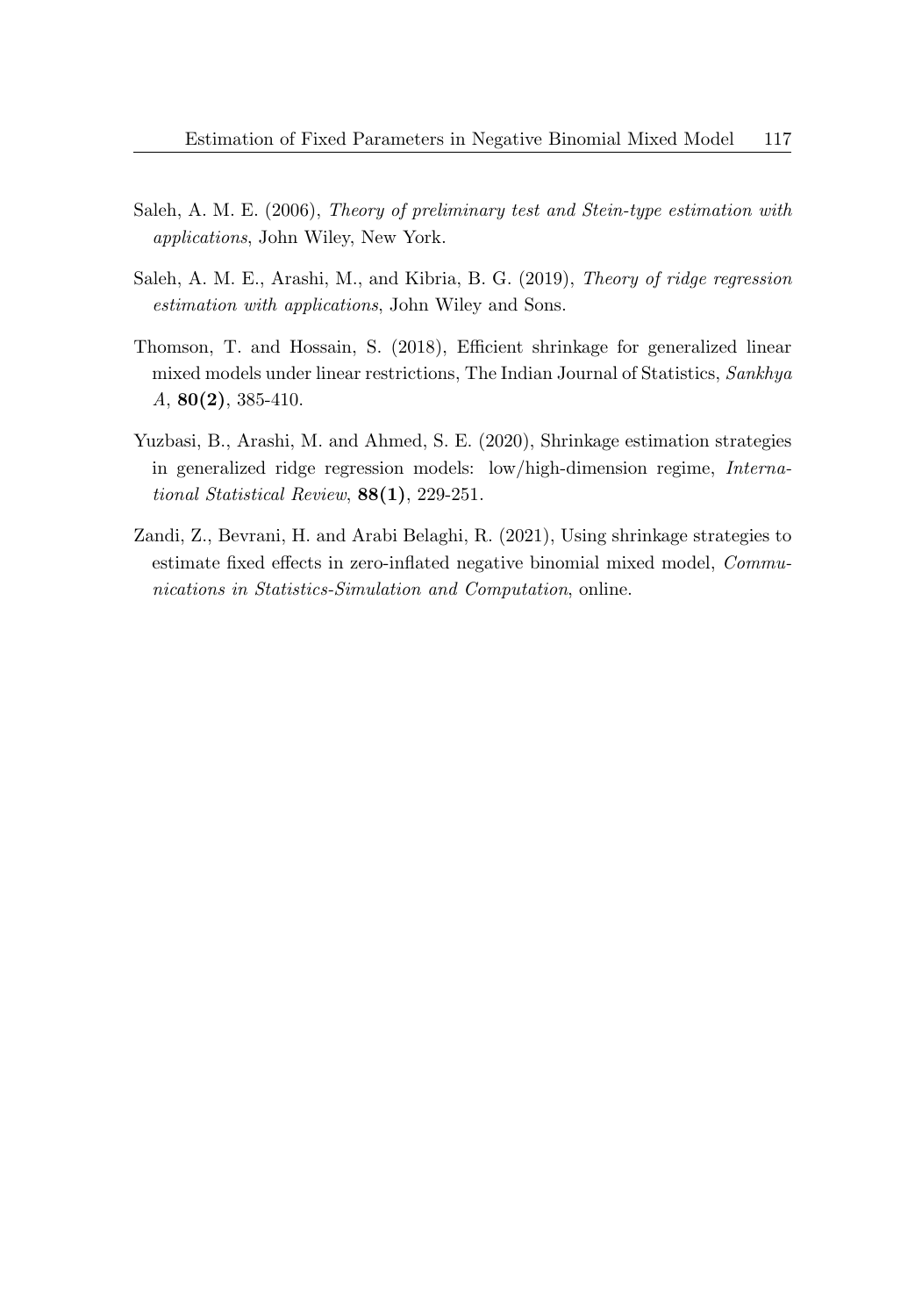- <span id="page-18-0"></span>Saleh, A. M. E. (2006), Theory of preliminary test and Stein-type estimation with applications, John Wiley, New York.
- <span id="page-18-3"></span>Saleh, A. M. E., Arashi, M., and Kibria, B. G. (2019), Theory of ridge regression estimation with applications, John Wiley and Sons.
- <span id="page-18-1"></span>Thomson, T. and Hossain, S. (2018), Efficient shrinkage for generalized linear mixed models under linear restrictions, The Indian Journal of Statistics, Sankhya A, 80(2), 385-410.
- <span id="page-18-2"></span>Yuzbasi, B., Arashi, M. and Ahmed, S. E. (2020), Shrinkage estimation strategies in generalized ridge regression models: low/high-dimension regime, International Statistical Review,  $88(1)$ , 229-251.
- <span id="page-18-4"></span>Zandi, Z., Bevrani, H. and Arabi Belaghi, R. (2021), Using shrinkage strategies to estimate fixed effects in zero-inflated negative binomial mixed model, Communications in Statistics-Simulation and Computation, online.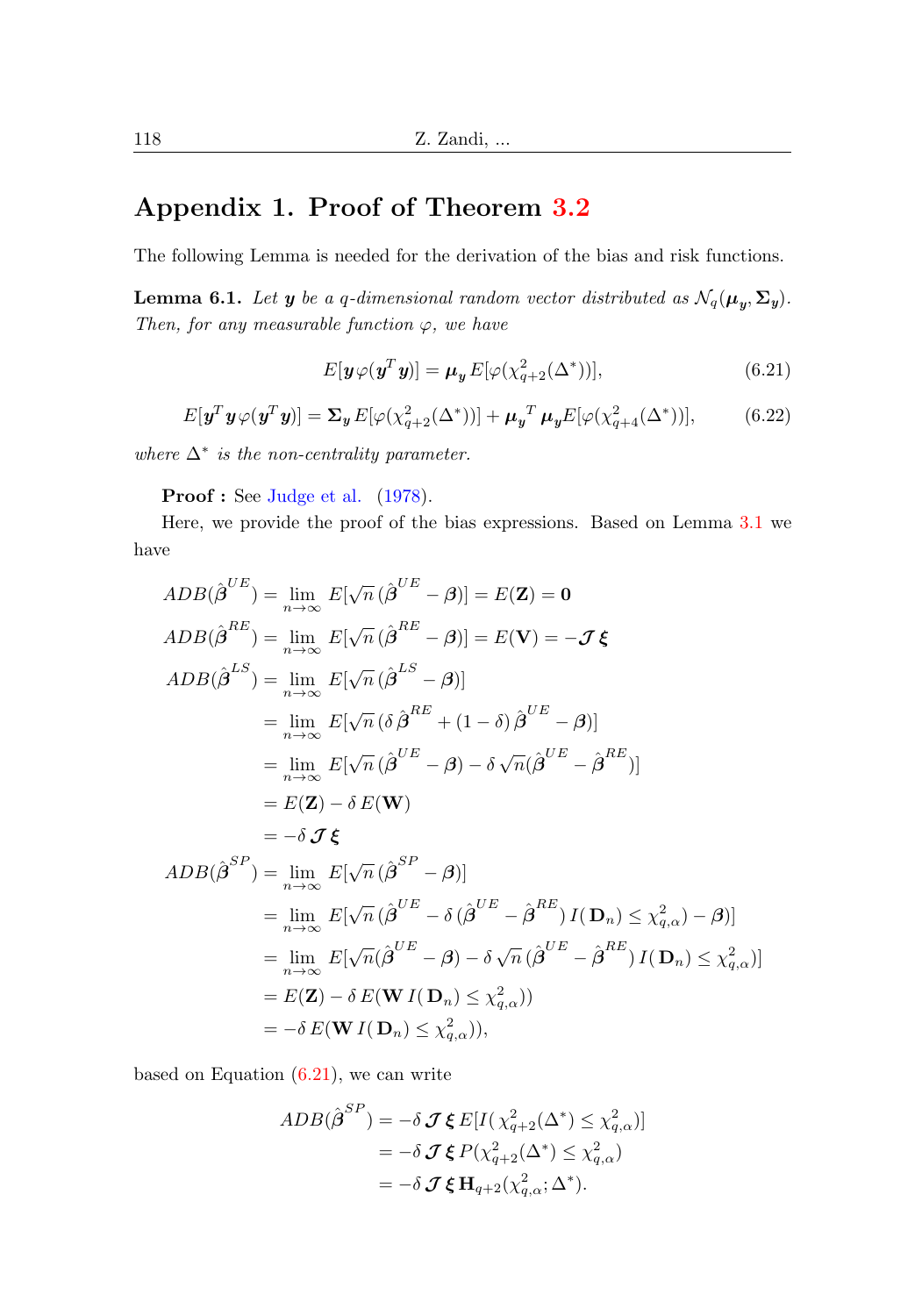## Appendix 1. Proof of Theorem [3.2](#page-7-0)

The following Lemma is needed for the derivation of the bias and risk functions.

**Lemma 6.1.** Let  $y$  be a q-dimensional random vector distributed as  $\mathcal{N}_q(\boldsymbol{\mu}_y, \boldsymbol{\Sigma}_y)$ . Then, for any measurable function  $\varphi$ , we have

<span id="page-19-0"></span>
$$
E[\boldsymbol{y}\varphi(\boldsymbol{y}^T\boldsymbol{y})] = \boldsymbol{\mu}_{\boldsymbol{y}} E[\varphi(\chi_{q+2}^2(\Delta^*))],\tag{6.21}
$$

<span id="page-19-1"></span>
$$
E[\mathbf{y}^T \mathbf{y} \varphi(\mathbf{y}^T \mathbf{y})] = \mathbf{\Sigma}_{\mathbf{y}} E[\varphi(\chi_{q+2}^2(\Delta^*))] + \boldsymbol{\mu}_{\mathbf{y}}^T \boldsymbol{\mu}_{\mathbf{y}} E[\varphi(\chi_{q+4}^2(\Delta^*))],\tag{6.22}
$$

where  $\Delta^*$  is the non-centrality parameter.

Proof : See [Judge et al.](#page-16-9) [\(1978\)](#page-16-9).

Here, we provide the proof of the bias expressions. Based on Lemma [3.1](#page-6-1) we have

$$
ADB(\hat{\boldsymbol{\beta}}^{UE}) = \lim_{n \to \infty} E[\sqrt{n} (\hat{\boldsymbol{\beta}}^{UE} - \boldsymbol{\beta})] = E(\mathbf{Z}) = \mathbf{0}
$$
  
\n
$$
ADB(\hat{\boldsymbol{\beta}}^{RE}) = \lim_{n \to \infty} E[\sqrt{n} (\hat{\boldsymbol{\beta}}^{RE} - \boldsymbol{\beta})] = E(\mathbf{V}) = -\mathcal{J} \boldsymbol{\xi}
$$
  
\n
$$
ADB(\hat{\boldsymbol{\beta}}^{LS}) = \lim_{n \to \infty} E[\sqrt{n} (\hat{\boldsymbol{\beta}}^{LS} - \boldsymbol{\beta})]
$$
  
\n
$$
= \lim_{n \to \infty} E[\sqrt{n} (\hat{\boldsymbol{\beta}}^{BE} + (1 - \delta) \hat{\boldsymbol{\beta}}^{UE} - \boldsymbol{\beta})]
$$
  
\n
$$
= \lim_{n \to \infty} E[\sqrt{n} (\hat{\boldsymbol{\beta}}^{UE} - \boldsymbol{\beta}) - \delta \sqrt{n} (\hat{\boldsymbol{\beta}}^{UE} - \hat{\boldsymbol{\beta}}^{RE})]
$$
  
\n
$$
= E(\mathbf{Z}) - \delta E(\mathbf{W})
$$
  
\n
$$
= -\delta \mathcal{J} \boldsymbol{\xi}
$$
  
\n
$$
ADB(\hat{\boldsymbol{\beta}}^{SP}) = \lim_{n \to \infty} E[\sqrt{n} (\hat{\boldsymbol{\beta}}^{SP} - \boldsymbol{\beta})]
$$
  
\n
$$
= \lim_{n \to \infty} E[\sqrt{n} (\hat{\boldsymbol{\beta}}^{UE} - \delta (\hat{\boldsymbol{\beta}}^{UE} - \hat{\boldsymbol{\beta}}^{RE}) I(\mathbf{D}_n) \leq \chi^2_{q,\alpha}) - \boldsymbol{\beta})]
$$
  
\n
$$
= \lim_{n \to \infty} E[\sqrt{n} (\hat{\boldsymbol{\beta}}^{UE} - \boldsymbol{\beta}) - \delta \sqrt{n} (\hat{\boldsymbol{\beta}}^{UE} - \hat{\boldsymbol{\beta}}^{RE}) I(\mathbf{D}_n) \leq \chi^2_{q,\alpha})]
$$
  
\n
$$
= E(\mathbf{Z}) - \delta E(\mathbf{W} I(\mathbf{D}_n) \leq \chi^2_{q,\alpha})
$$
  
\n
$$
= -\delta E(\mathbf{W} I(\mathbf{D}_n) \leq \chi^2_{q,\alpha})
$$

based on Equation  $(6.21)$ , we can write

$$
ADB(\hat{\boldsymbol{\beta}}^{SP}) = -\delta \mathcal{J} \boldsymbol{\xi} E[I(\chi_{q+2}^2(\Delta^*) \le \chi_{q,\alpha}^2)]
$$
  
=  $-\delta \mathcal{J} \boldsymbol{\xi} P(\chi_{q+2}^2(\Delta^*) \le \chi_{q,\alpha}^2)$   
=  $-\delta \mathcal{J} \boldsymbol{\xi} \mathbf{H}_{q+2}(\chi_{q,\alpha}^2; \Delta^*).$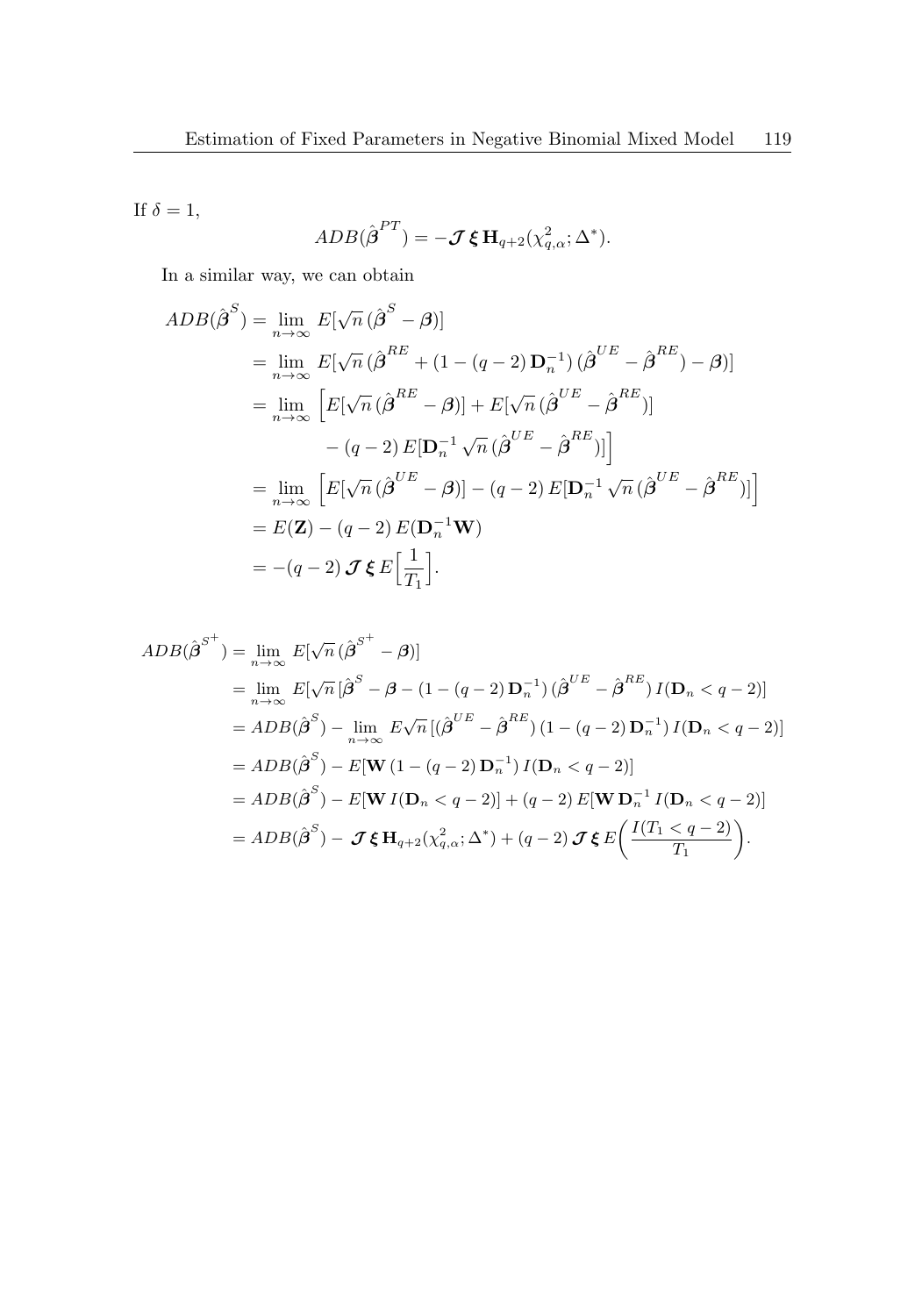If  $\delta = 1$ ,

$$
ADB(\hat{\boldsymbol{\beta}}^{PT}) = -\boldsymbol{\mathcal{J}} \boldsymbol{\xi} \mathbf{H}_{q+2}(\chi^2_{q,\alpha};\Delta^*).
$$

In a similar way, we can obtain

$$
ADB(\hat{\boldsymbol{\beta}}^{S}) = \lim_{n \to \infty} E[\sqrt{n} (\hat{\boldsymbol{\beta}}^{S} - \boldsymbol{\beta})]
$$
  
\n
$$
= \lim_{n \to \infty} E[\sqrt{n} (\hat{\boldsymbol{\beta}}^{RE} + (1 - (q - 2) \mathbf{D}_{n}^{-1}) (\hat{\boldsymbol{\beta}}^{UE} - \hat{\boldsymbol{\beta}}^{RE}) - \boldsymbol{\beta})]
$$
  
\n
$$
= \lim_{n \to \infty} \left[ E[\sqrt{n} (\hat{\boldsymbol{\beta}}^{RE} - \boldsymbol{\beta})] + E[\sqrt{n} (\hat{\boldsymbol{\beta}}^{UE} - \hat{\boldsymbol{\beta}}^{RE})]
$$
  
\n
$$
- (q - 2) E[\mathbf{D}_{n}^{-1} \sqrt{n} (\hat{\boldsymbol{\beta}}^{UE} - \hat{\boldsymbol{\beta}}^{RE})] \right]
$$
  
\n
$$
= \lim_{n \to \infty} \left[ E[\sqrt{n} (\hat{\boldsymbol{\beta}}^{UE} - \boldsymbol{\beta})] - (q - 2) E[\mathbf{D}_{n}^{-1} \sqrt{n} (\hat{\boldsymbol{\beta}}^{UE} - \hat{\boldsymbol{\beta}}^{RE})] \right]
$$
  
\n
$$
= E(\mathbf{Z}) - (q - 2) E(\mathbf{D}_{n}^{-1} \mathbf{W})
$$
  
\n
$$
= -(q - 2) \mathcal{J} \boldsymbol{\xi} E[\frac{1}{T_{1}}].
$$

$$
ADB(\hat{\beta}^{S^{+}}) = \lim_{n \to \infty} E[\sqrt{n} (\hat{\beta}^{S^{+}} - \beta)]
$$
  
\n
$$
= \lim_{n \to \infty} E[\sqrt{n} [\hat{\beta}^{S} - \beta - (1 - (q - 2) \mathbf{D}_{n}^{-1}) (\hat{\beta}^{UE} - \hat{\beta}^{RE}) I(\mathbf{D}_{n} < q - 2)]
$$
  
\n
$$
= ADB(\hat{\beta}^{S}) - \lim_{n \to \infty} E\sqrt{n} [(\hat{\beta}^{UE} - \hat{\beta}^{RE}) (1 - (q - 2) \mathbf{D}_{n}^{-1}) I(\mathbf{D}_{n} < q - 2)]
$$
  
\n
$$
= ADB(\hat{\beta}^{S}) - E[\mathbf{W} (1 - (q - 2) \mathbf{D}_{n}^{-1}) I(\mathbf{D}_{n} < q - 2)]
$$
  
\n
$$
= ADB(\hat{\beta}^{S}) - E[\mathbf{W} I(\mathbf{D}_{n} < q - 2)] + (q - 2) E[\mathbf{W} \mathbf{D}_{n}^{-1} I(\mathbf{D}_{n} < q - 2)]
$$
  
\n
$$
= ADB(\hat{\beta}^{S}) - \mathcal{J} \xi \mathbf{H}_{q+2}(\chi_{q,\alpha}^{2}; \Delta^{*}) + (q - 2) \mathcal{J} \xi E\left(\frac{I(T_{1} < q - 2)}{T_{1}}\right).
$$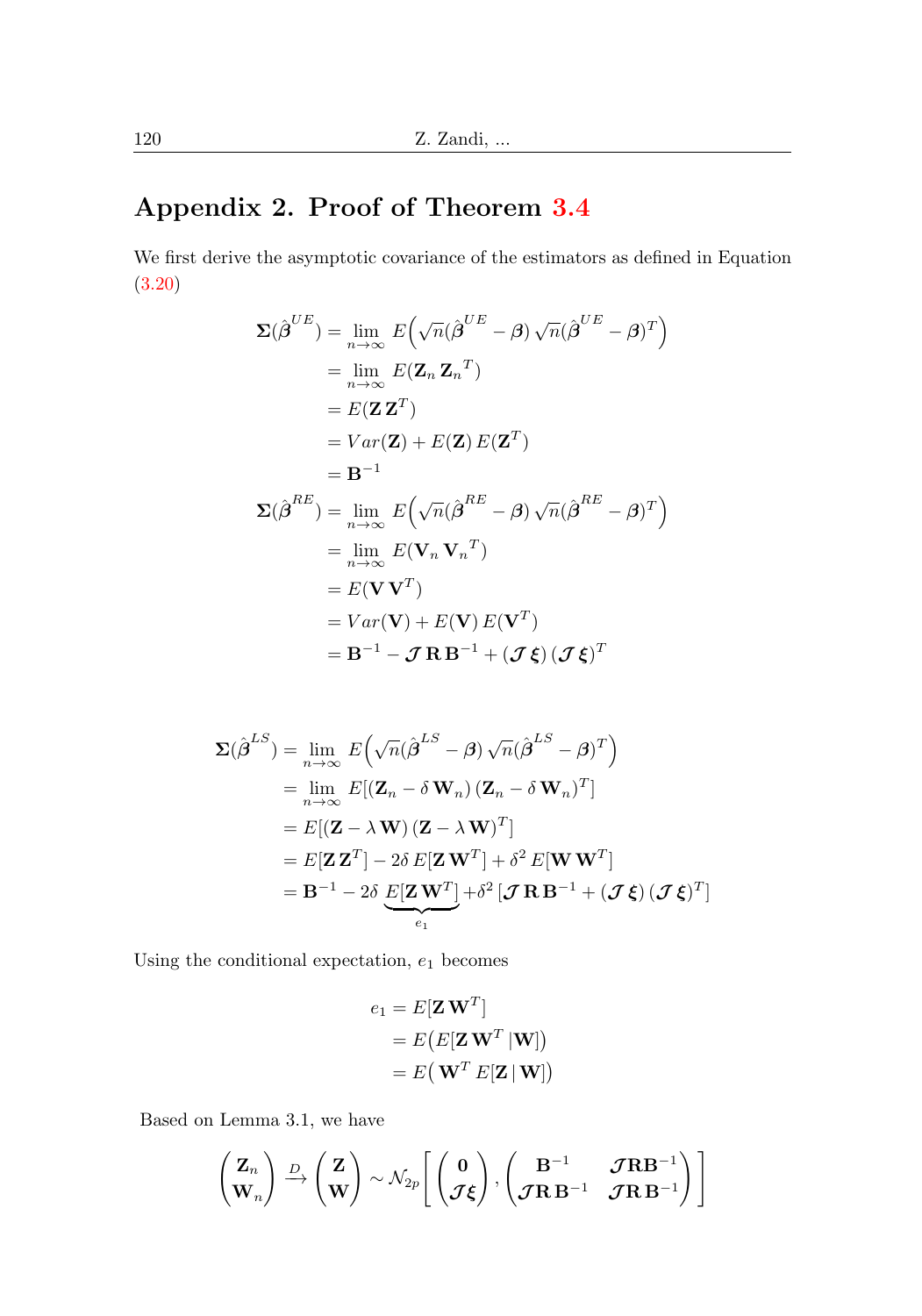# Appendix 2. Proof of Theorem [3.4](#page-8-0)

We first derive the asymptotic covariance of the estimators as defined in Equation [\(3.20\)](#page-8-1)

$$
\Sigma(\hat{\boldsymbol{\beta}}^{UE}) = \lim_{n \to \infty} E(\sqrt{n}(\hat{\boldsymbol{\beta}}^{UE} - \boldsymbol{\beta}) \sqrt{n}(\hat{\boldsymbol{\beta}}^{UE} - \boldsymbol{\beta})^T)
$$
  
\n
$$
= \lim_{n \to \infty} E(\mathbf{Z}_n \mathbf{Z}_n^T)
$$
  
\n
$$
= E(\mathbf{Z} \mathbf{Z}^T)
$$
  
\n
$$
= Var(\mathbf{Z}) + E(\mathbf{Z}) E(\mathbf{Z}^T)
$$
  
\n
$$
= \mathbf{B}^{-1}
$$
  
\n
$$
\Sigma(\hat{\boldsymbol{\beta}}^{RE}) = \lim_{n \to \infty} E(\sqrt{n}(\hat{\boldsymbol{\beta}}^{RE} - \boldsymbol{\beta}) \sqrt{n}(\hat{\boldsymbol{\beta}}^{RE} - \boldsymbol{\beta})^T)
$$
  
\n
$$
= \lim_{n \to \infty} E(\mathbf{V}_n \mathbf{V}_n^T)
$$
  
\n
$$
= E(\mathbf{V}\mathbf{V}^T)
$$
  
\n
$$
= Var(\mathbf{V}) + E(\mathbf{V}) E(\mathbf{V}^T)
$$
  
\n
$$
= \mathbf{B}^{-1} - \mathcal{J} \mathbf{R} \mathbf{B}^{-1} + (\mathcal{J} \boldsymbol{\xi}) (\mathcal{J} \boldsymbol{\xi})^T
$$

$$
\Sigma(\hat{\boldsymbol{\beta}}^{LS}) = \lim_{n \to \infty} E\Big(\sqrt{n}(\hat{\boldsymbol{\beta}}^{LS} - \boldsymbol{\beta})\sqrt{n}(\hat{\boldsymbol{\beta}}^{LS} - \boldsymbol{\beta})^T\Big)
$$
  
\n
$$
= \lim_{n \to \infty} E\big[(\mathbf{Z}_n - \delta \mathbf{W}_n) (\mathbf{Z}_n - \delta \mathbf{W}_n)^T\big]
$$
  
\n
$$
= E\big[(\mathbf{Z} - \lambda \mathbf{W})(\mathbf{Z} - \lambda \mathbf{W})^T\big]
$$
  
\n
$$
= E[\mathbf{Z}\mathbf{Z}^T] - 2\delta E[\mathbf{Z}\mathbf{W}^T] + \delta^2 E[\mathbf{W}\mathbf{W}^T]
$$
  
\n
$$
= \mathbf{B}^{-1} - 2\delta \underbrace{E[\mathbf{Z}\mathbf{W}^T]}_{e_1} + \delta^2 [\boldsymbol{\mathcal{J}}\mathbf{R}\mathbf{B}^{-1} + (\boldsymbol{\mathcal{J}}\boldsymbol{\xi})(\boldsymbol{\mathcal{J}}\boldsymbol{\xi})^T]
$$

Using the conditional expectation,  $e_1$  becomes

$$
\begin{aligned} e_1 &= E[\mathbf{Z}\,\mathbf{W}^T] \\ &= E\big(E[\mathbf{Z}\,\mathbf{W}^T\,|\mathbf{W}]\big) \\ &= E\big(\,\mathbf{W}^T\,E[\mathbf{Z}\,|\,\mathbf{W}]\big) \end{aligned}
$$

Based on Lemma 3.1, we have

$$
\begin{pmatrix} \mathbf{Z}_n \\ \mathbf{W}_n \end{pmatrix} \xrightarrow{D} \begin{pmatrix} \mathbf{Z} \\ \mathbf{W} \end{pmatrix} \sim \mathcal{N}_{2p} \begin{bmatrix} \begin{pmatrix} \mathbf{0} \\ \mathcal{J}\boldsymbol{\xi} \end{pmatrix}, \begin{pmatrix} \mathbf{B}^{-1} & \mathcal{J}\mathbf{R}\mathbf{B}^{-1} \\ \mathcal{J}\mathbf{R}\mathbf{B}^{-1} & \mathcal{J}\mathbf{R}\mathbf{B}^{-1} \end{pmatrix} \end{bmatrix}
$$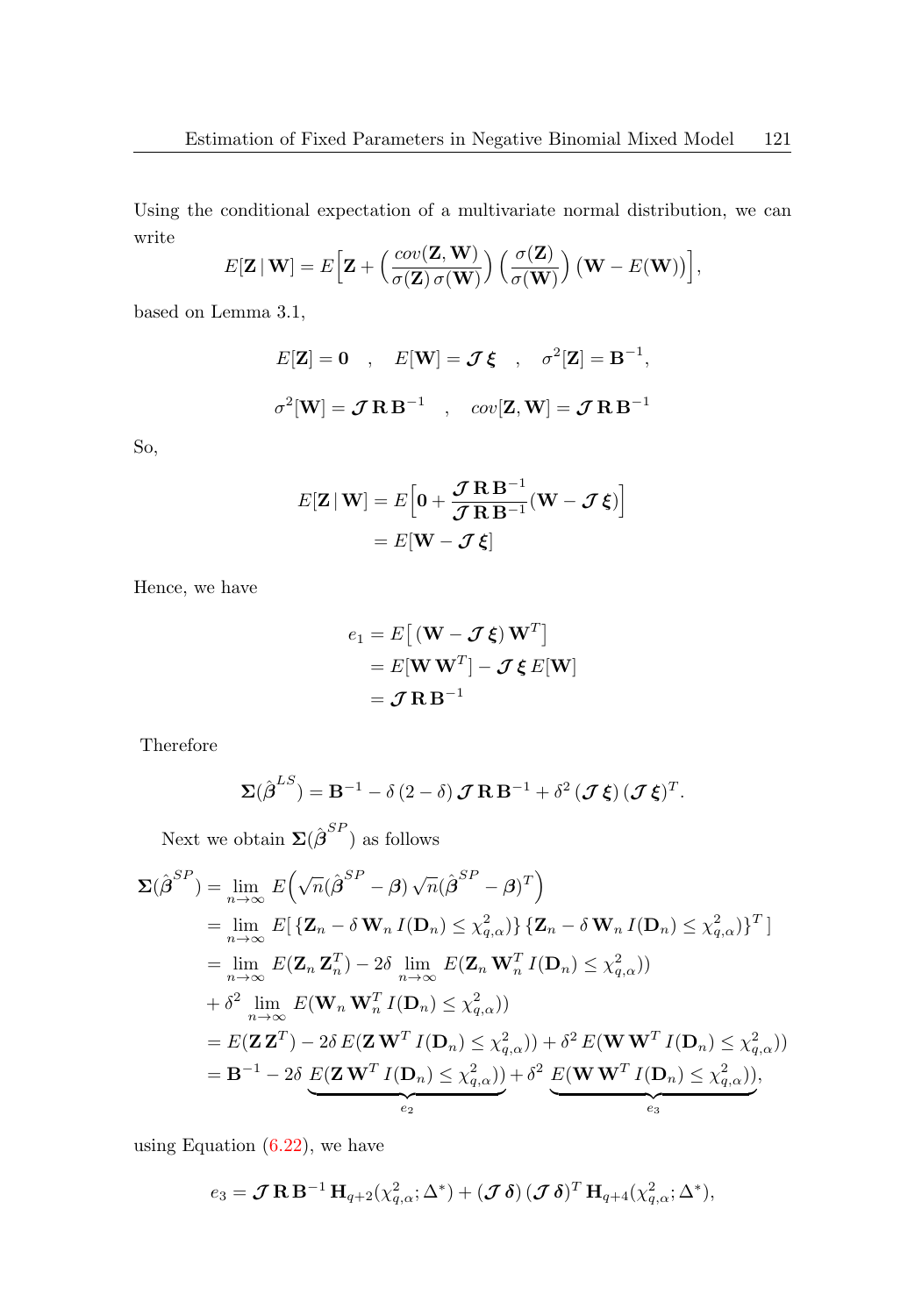Using the conditional expectation of a multivariate normal distribution, we can write

$$
E[\mathbf{Z} | \mathbf{W}] = E\Big[\mathbf{Z} + \Big(\frac{cov(\mathbf{Z}, \mathbf{W})}{\sigma(\mathbf{Z}) \sigma(\mathbf{W})}\Big) \Big(\frac{\sigma(\mathbf{Z})}{\sigma(\mathbf{W})}\Big) (\mathbf{W} - E(\mathbf{W}))\Big],
$$

based on Lemma 3.1,

$$
E[\mathbf{Z}] = \mathbf{0} , E[\mathbf{W}] = \mathcal{J}\boldsymbol{\xi} , \sigma^2[\mathbf{Z}] = \mathbf{B}^{-1},
$$
  

$$
\sigma^2[\mathbf{W}] = \mathcal{J}\mathbf{R}\mathbf{B}^{-1} , cov[\mathbf{Z}, \mathbf{W}] = \mathcal{J}\mathbf{R}\mathbf{B}^{-1}
$$

So,

$$
E[\mathbf{Z} | \mathbf{W}] = E\Big[\mathbf{0} + \frac{\mathcal{J} \mathbf{R} \mathbf{B}^{-1}}{\mathcal{J} \mathbf{R} \mathbf{B}^{-1}} (\mathbf{W} - \mathcal{J} \boldsymbol{\xi})\Big]
$$

$$
= E[\mathbf{W} - \mathcal{J} \boldsymbol{\xi}]
$$

Hence, we have

$$
e_1 = E[(\mathbf{W} - \mathcal{J}\boldsymbol{\xi})\mathbf{W}^T]
$$
  
=  $E[\mathbf{W}\mathbf{W}^T] - \mathcal{J}\boldsymbol{\xi} E[\mathbf{W}]$   
=  $\mathcal{J}\mathbf{R}\mathbf{B}^{-1}$ 

Therefore

$$
\Sigma(\hat{\boldsymbol{\beta}}^{LS}) = \mathbf{B}^{-1} - \delta(2-\delta)\boldsymbol{\mathcal{J}}\mathbf{R}\mathbf{B}^{-1} + \delta^2(\boldsymbol{\mathcal{J}}\boldsymbol{\xi})(\boldsymbol{\mathcal{J}}\boldsymbol{\xi})^T.
$$

Next we obtain  $\Sigma(\hat{\boldsymbol{\beta}}^{SP})$  as follows

$$
\Sigma(\hat{\boldsymbol{\beta}}^{SP}) = \lim_{n \to \infty} E\Big(\sqrt{n}(\hat{\boldsymbol{\beta}}^{SP} - \boldsymbol{\beta})\sqrt{n}(\hat{\boldsymbol{\beta}}^{SP} - \boldsymbol{\beta})^{T}\Big)
$$
  
\n
$$
= \lim_{n \to \infty} E[\{Z_n - \delta \mathbf{W}_n I(\mathbf{D}_n) \leq \chi_{q,\alpha}^2\} \{Z_n - \delta \mathbf{W}_n I(\mathbf{D}_n) \leq \chi_{q,\alpha}^2\}^{T}]
$$
  
\n
$$
= \lim_{n \to \infty} E(\mathbf{Z}_n \mathbf{Z}_n^{T}) - 2\delta \lim_{n \to \infty} E(\mathbf{Z}_n \mathbf{W}_n^{T} I(\mathbf{D}_n) \leq \chi_{q,\alpha}^2))
$$
  
\n
$$
+ \delta^2 \lim_{n \to \infty} E(\mathbf{W}_n \mathbf{W}_n^{T} I(\mathbf{D}_n) \leq \chi_{q,\alpha}^2))
$$
  
\n
$$
= E(\mathbf{Z} \mathbf{Z}^{T}) - 2\delta E(\mathbf{Z} \mathbf{W}^{T} I(\mathbf{D}_n) \leq \chi_{q,\alpha}^2)) + \delta^2 E(\mathbf{W} \mathbf{W}^{T} I(\mathbf{D}_n) \leq \chi_{q,\alpha}^2))
$$
  
\n
$$
= \mathbf{B}^{-1} - 2\delta \underbrace{E(\mathbf{Z} \mathbf{W}^{T} I(\mathbf{D}_n) \leq \chi_{q,\alpha}^2)}_{e_2}) + \delta^2 \underbrace{E(\mathbf{W} \mathbf{W}^{T} I(\mathbf{D}_n) \leq \chi_{q,\alpha}^2)}_{e_3}),
$$

using Equation  $(6.22)$ , we have

$$
e_3 = \mathcal{J} \mathbf{R} \mathbf{B}^{-1} \mathbf{H}_{q+2}(\chi^2_{q,\alpha}; \Delta^*) + (\mathcal{J} \delta) (\mathcal{J} \delta)^T \mathbf{H}_{q+4}(\chi^2_{q,\alpha}; \Delta^*),
$$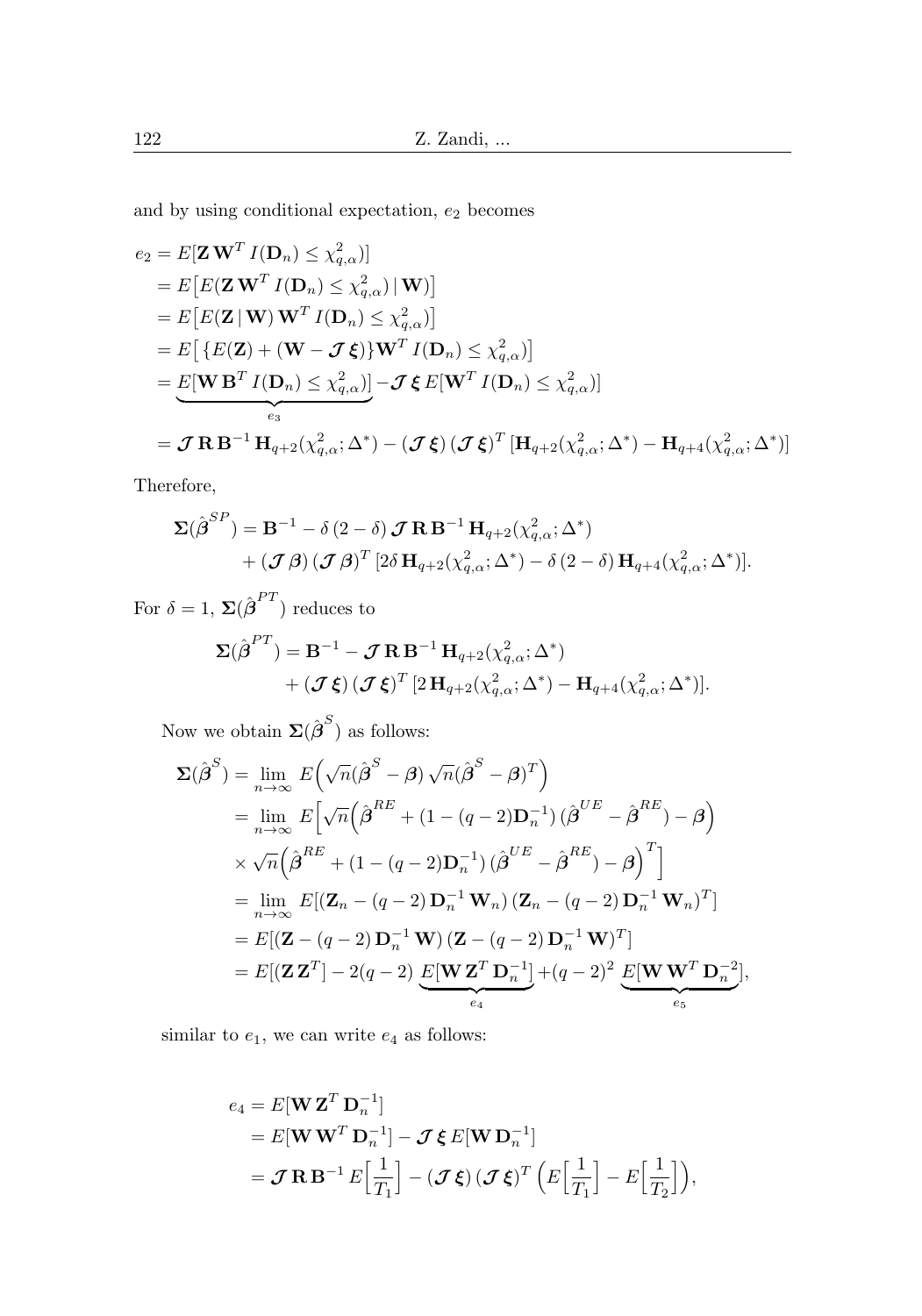and by using conditional expectation,  $e_2$  becomes

$$
e_2 = E[\mathbf{Z} \mathbf{W}^T I(\mathbf{D}_n) \leq \chi_{q,\alpha}^2)]
$$
  
\n
$$
= E\big[E(\mathbf{Z} \mathbf{W}^T I(\mathbf{D}_n) \leq \chi_{q,\alpha}^2) | \mathbf{W})\big]
$$
  
\n
$$
= E\big[E(\mathbf{Z} | \mathbf{W}) \mathbf{W}^T I(\mathbf{D}_n) \leq \chi_{q,\alpha}^2)\big]
$$
  
\n
$$
= E\big[\{E(\mathbf{Z}) + (\mathbf{W} - \mathcal{J}\boldsymbol{\xi})\} \mathbf{W}^T I(\mathbf{D}_n) \leq \chi_{q,\alpha}^2)\big]
$$
  
\n
$$
= \underbrace{E[\mathbf{W} \mathbf{B}^T I(\mathbf{D}_n) \leq \chi_{q,\alpha}^2)\big] - \mathcal{J}\boldsymbol{\xi} E[\mathbf{W}^T I(\mathbf{D}_n) \leq \chi_{q,\alpha}^2)\big]}
$$
  
\n
$$
= \mathcal{J} \mathbf{R} \mathbf{B}^{-1} \mathbf{H}_{q+2}(\chi_{q,\alpha}^2; \Delta^*) - (\mathcal{J}\boldsymbol{\xi}) (\mathcal{J}\boldsymbol{\xi})^T [\mathbf{H}_{q+2}(\chi_{q,\alpha}^2; \Delta^*) - \mathbf{H}_{q+4}(\chi_{q,\alpha}^2; \Delta^*)]
$$

Therefore,

$$
\Sigma(\hat{\boldsymbol{\beta}}^{SP}) = \mathbf{B}^{-1} - \delta (2 - \delta) \mathbf{J} \mathbf{R} \mathbf{B}^{-1} \mathbf{H}_{q+2}(\chi^2_{q,\alpha}; \Delta^*)
$$
  
+ 
$$
(\mathbf{J}\boldsymbol{\beta}) (\mathbf{J}\boldsymbol{\beta})^T [2\delta \mathbf{H}_{q+2}(\chi^2_{q,\alpha}; \Delta^*) - \delta (2 - \delta) \mathbf{H}_{q+4}(\chi^2_{q,\alpha}; \Delta^*)].
$$

For  $\delta = 1$ ,  $\Sigma(\hat{\boldsymbol{\beta}}^{PT})$  reduces to

$$
\Sigma(\hat{\boldsymbol{\beta}}^{PT}) = \mathbf{B}^{-1} - \mathcal{J} \mathbf{R} \mathbf{B}^{-1} \mathbf{H}_{q+2}(\chi^2_{q,\alpha}; \Delta^*)
$$
  
+  $(\mathcal{J}\boldsymbol{\xi}) (\mathcal{J}\boldsymbol{\xi})^T [2\mathbf{H}_{q+2}(\chi^2_{q,\alpha}; \Delta^*) - \mathbf{H}_{q+4}(\chi^2_{q,\alpha}; \Delta^*)].$ 

Now we obtain  $\Sigma(\hat{\boldsymbol{\beta}}^S)$  as follows:

$$
\Sigma(\hat{\boldsymbol{\beta}}^{S}) = \lim_{n \to \infty} E\Big(\sqrt{n}(\hat{\boldsymbol{\beta}}^{S} - \boldsymbol{\beta})\sqrt{n}(\hat{\boldsymbol{\beta}}^{S} - \boldsymbol{\beta})^{T}\Big)
$$
  
\n
$$
= \lim_{n \to \infty} E\Big[\sqrt{n}\Big(\hat{\boldsymbol{\beta}}^{RE} + (1 - (q - 2)\mathbf{D}_{n}^{-1})(\hat{\boldsymbol{\beta}}^{UE} - \hat{\boldsymbol{\beta}}^{RE}) - \boldsymbol{\beta}\Big)
$$
  
\n
$$
\times \sqrt{n}\Big(\hat{\boldsymbol{\beta}}^{RE} + (1 - (q - 2)\mathbf{D}_{n}^{-1})(\hat{\boldsymbol{\beta}}^{UE} - \hat{\boldsymbol{\beta}}^{RE}) - \boldsymbol{\beta}\Big)^{T}\Big]
$$
  
\n
$$
= \lim_{n \to \infty} E\big[(\mathbf{Z}_{n} - (q - 2)\mathbf{D}_{n}^{-1}\mathbf{W}_{n})(\mathbf{Z}_{n} - (q - 2)\mathbf{D}_{n}^{-1}\mathbf{W}_{n})^{T}\big]
$$
  
\n
$$
= E\big[(\mathbf{Z} - (q - 2)\mathbf{D}_{n}^{-1}\mathbf{W})(\mathbf{Z} - (q - 2)\mathbf{D}_{n}^{-1}\mathbf{W})^{T}\big]
$$
  
\n
$$
= E\big[(\mathbf{Z}\mathbf{Z}^{T}\big] - 2(q - 2)\mathbf{E}[\mathbf{W}\mathbf{Z}^{T}\mathbf{D}_{n}^{-1}] + (q - 2)^{2}\mathbf{E}[\mathbf{W}\mathbf{W}^{T}\mathbf{D}_{n}^{-2}],
$$

similar to  $e_1$ , we can write  $e_4$  as follows:

$$
e_4 = E[\mathbf{W} \mathbf{Z}^T \mathbf{D}_n^{-1}]
$$
  
=  $E[\mathbf{W} \mathbf{W}^T \mathbf{D}_n^{-1}] - \mathcal{J} \xi E[\mathbf{W} \mathbf{D}_n^{-1}]$   
=  $\mathcal{J} \mathbf{R} \mathbf{B}^{-1} E\Big[\frac{1}{T_1}\Big] - (\mathcal{J} \xi) (\mathcal{J} \xi)^T \Big(E\Big[\frac{1}{T_1}\Big] - E\Big[\frac{1}{T_2}\Big]\Big),$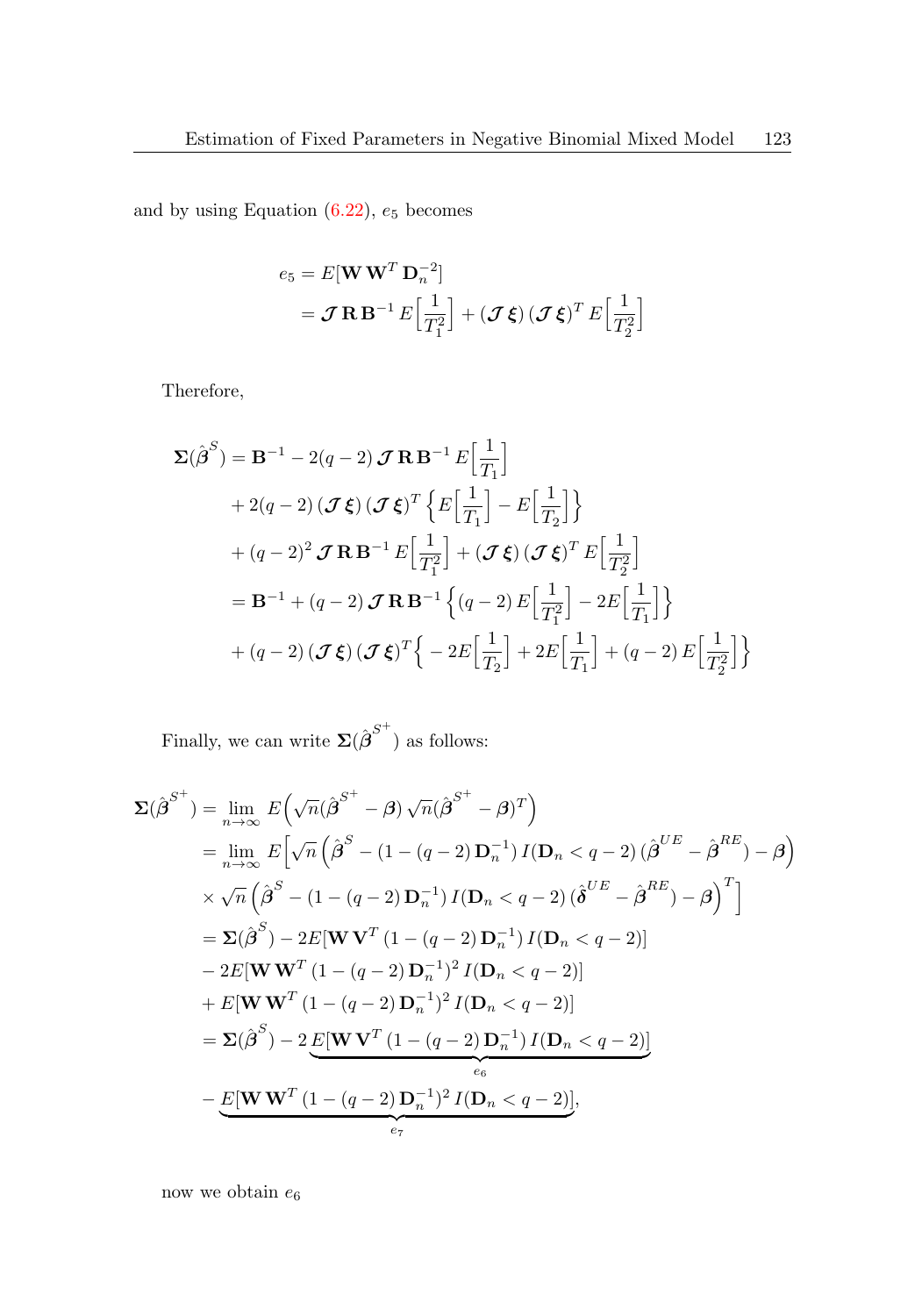and by using Equation  $(6.22)$ ,  $e_5$  becomes

$$
e_5 = E[\mathbf{W}\mathbf{W}^T\mathbf{D}_n^{-2}]
$$
  
=  $\mathcal{J}\mathbf{R}\mathbf{B}^{-1}E\Big[\frac{1}{T_1^2}\Big] + (\mathcal{J}\xi)(\mathcal{J}\xi)^T E\Big[\frac{1}{T_2^2}\Big]$ 

Therefore,

$$
\Sigma(\hat{\boldsymbol{\beta}}^{S}) = \mathbf{B}^{-1} - 2(q - 2) \mathbf{J} \mathbf{R} \mathbf{B}^{-1} E\Big[\frac{1}{T_1}\Big] \n+ 2(q - 2) (\mathbf{J} \xi) (\mathbf{J} \xi)^{T} \Big\{ E\Big[\frac{1}{T_1}\Big] - E\Big[\frac{1}{T_2}\Big] \Big\} \n+ (q - 2)^2 \mathbf{J} \mathbf{R} \mathbf{B}^{-1} E\Big[\frac{1}{T_1^2}\Big] + (\mathbf{J} \xi) (\mathbf{J} \xi)^{T} E\Big[\frac{1}{T_2^2}\Big] \n= \mathbf{B}^{-1} + (q - 2) \mathbf{J} \mathbf{R} \mathbf{B}^{-1} \Big\{ (q - 2) E\Big[\frac{1}{T_1^2}\Big] - 2E\Big[\frac{1}{T_1}\Big] \Big\} \n+ (q - 2) (\mathbf{J} \xi) (\mathbf{J} \xi)^{T} \Big\{ - 2E\Big[\frac{1}{T_2}\Big] + 2E\Big[\frac{1}{T_1}\Big] + (q - 2) E\Big[\frac{1}{T_2^2}\Big] \Big\}
$$

Finally, we can write  $\Sigma(\hat{\boldsymbol{\beta}}^{S^+})$  as follows:

$$
\Sigma(\hat{\beta}^{S^{+}}) = \lim_{n \to \infty} E\left(\sqrt{n}(\hat{\beta}^{S^{+}} - \beta)\sqrt{n}(\hat{\beta}^{S^{+}} - \beta)^{T}\right)
$$
  
\n
$$
= \lim_{n \to \infty} E\left[\sqrt{n}\left(\hat{\beta}^{S} - (1 - (q - 2)D_{n}^{-1})I(D_{n} < q - 2)(\hat{\beta}^{UE} - \hat{\beta}^{RE}) - \beta\right)\right]
$$
  
\n
$$
\times \sqrt{n}\left(\hat{\beta}^{S} - (1 - (q - 2)D_{n}^{-1})I(D_{n} < q - 2)(\hat{\delta}^{UE} - \hat{\beta}^{RE}) - \beta\right)^{T}\right]
$$
  
\n
$$
= \Sigma(\hat{\beta}^{S}) - 2E[WV^{T}(1 - (q - 2)D_{n}^{-1})I(D_{n} < q - 2)]
$$
  
\n
$$
- 2E[WW^{T}(1 - (q - 2)D_{n}^{-1})^{2}I(D_{n} < q - 2)]
$$
  
\n
$$
+ E[WW^{T}(1 - (q - 2)D_{n}^{-1})^{2}I(D_{n} < q - 2)]
$$
  
\n
$$
= \Sigma(\hat{\beta}^{S}) - 2\underline{E[WV^{T}(1 - (q - 2)D_{n}^{-1})I(D_{n} < q - 2)]}
$$
  
\n
$$
- \underbrace{E[WW^{T}(1 - (q - 2)D_{n}^{-1})^{2}I(D_{n} < q - 2)]}_{eq},
$$

now we obtain  $e_6$